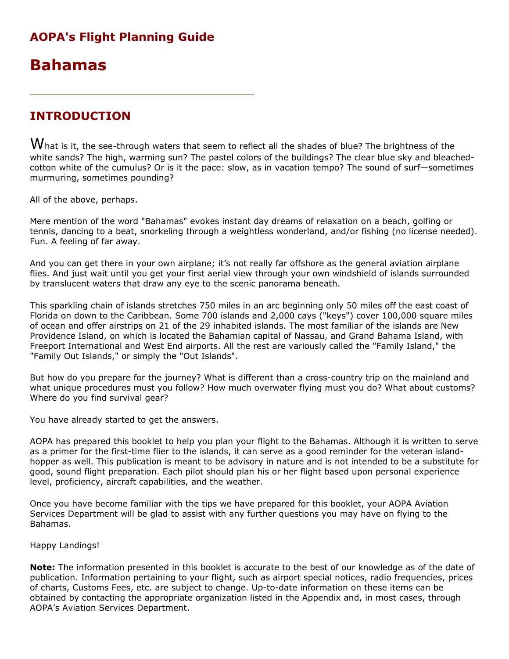# AOPA's Flight Planning Guide

# Bahamas

# INTRODUCTION

 $W$ hat is it, the see-through waters that seem to reflect all the shades of blue? The brightness of the white sands? The high, warming sun? The pastel colors of the buildings? The clear blue sky and bleachedcotton white of the cumulus? Or is it the pace: slow, as in vacation tempo? The sound of surf—sometimes murmuring, sometimes pounding?

All of the above, perhaps.

Mere mention of the word "Bahamas" evokes instant day dreams of relaxation on a beach, golfing or tennis, dancing to a beat, snorkeling through a weightless wonderland, and/or fishing (no license needed). Fun. A feeling of far away.

And you can get there in your own airplane; it's not really far offshore as the general aviation airplane flies. And just wait until you get your first aerial view through your own windshield of islands surrounded by translucent waters that draw any eye to the scenic panorama beneath.

This sparkling chain of islands stretches 750 miles in an arc beginning only 50 miles off the east coast of Florida on down to the Caribbean. Some 700 islands and 2,000 cays ("keys") cover 100,000 square miles of ocean and offer airstrips on 21 of the 29 inhabited islands. The most familiar of the islands are New Providence Island, on which is located the Bahamian capital of Nassau, and Grand Bahama Island, with Freeport International and West End airports. All the rest are variously called the "Family Island," the "Family Out Islands," or simply the "Out Islands".

But how do you prepare for the journey? What is different than a cross-country trip on the mainland and what unique procedures must you follow? How much overwater flying must you do? What about customs? Where do you find survival gear?

You have already started to get the answers.

AOPA has prepared this booklet to help you plan your flight to the Bahamas. Although it is written to serve as a primer for the first-time flier to the islands, it can serve as a good reminder for the veteran islandhopper as well. This publication is meant to be advisory in nature and is not intended to be a substitute for good, sound flight preparation. Each pilot should plan his or her flight based upon personal experience level, proficiency, aircraft capabilities, and the weather.

Once you have become familiar with the tips we have prepared for this booklet, your AOPA Aviation Services Department will be glad to assist with any further questions you may have on flying to the Bahamas.

Happy Landings!

Note: The information presented in this booklet is accurate to the best of our knowledge as of the date of publication. Information pertaining to your flight, such as airport special notices, radio frequencies, prices of charts, Customs Fees, etc. are subject to change. Up-to-date information on these items can be obtained by contacting the appropriate organization listed in the Appendix and, in most cases, through AOPA's Aviation Services Department.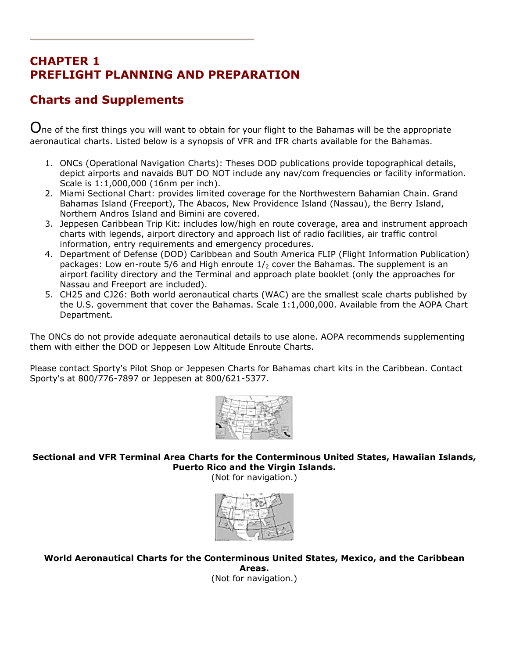# CHAPTER 1 PREFLIGHT PLANNING AND PREPARATION

# Charts and Supplements

 $\mathbf O$ ne of the first things you will want to obtain for your flight to the Bahamas will be the appropriate aeronautical charts. Listed below is a synopsis of VFR and IFR charts available for the Bahamas.

- 1. ONCs (Operational Navigation Charts): Theses DOD publications provide topographical details, depict airports and navaids BUT DO NOT include any nav/com frequencies or facility information. Scale is 1:1,000,000 (16nm per inch).
- 2. Miami Sectional Chart: provides limited coverage for the Northwestern Bahamian Chain. Grand Bahamas Island (Freeport), The Abacos, New Providence Island (Nassau), the Berry Island, Northern Andros Island and Bimini are covered.
- 3. Jeppesen Caribbean Trip Kit: includes low/high en route coverage, area and instrument approach charts with legends, airport directory and approach list of radio facilities, air traffic control information, entry requirements and emergency procedures.
- 4. Department of Defense (DOD) Caribbean and South America FLIP (Flight Information Publication) packages: Low en-route 5/6 and High enroute  $1/2$  cover the Bahamas. The supplement is an airport facility directory and the Terminal and approach plate booklet (only the approaches for Nassau and Freeport are included).
- 5. CH25 and CJ26: Both world aeronautical charts (WAC) are the smallest scale charts published by the U.S. government that cover the Bahamas. Scale 1:1,000,000. Available from the AOPA Chart Department.

The ONCs do not provide adequate aeronautical details to use alone. AOPA recommends supplementing them with either the DOD or Jeppesen Low Altitude Enroute Charts.

Please contact Sporty's Pilot Shop or Jeppesen Charts for Bahamas chart kits in the Caribbean. Contact Sporty's at 800/776-7897 or Jeppesen at 800/621-5377.



Sectional and VFR Terminal Area Charts for the Conterminous United States, Hawaiian Islands, Puerto Rico and the Virgin Islands.

(Not for navigation.)



World Aeronautical Charts for the Conterminous United States, Mexico, and the Caribbean Areas.

(Not for navigation.)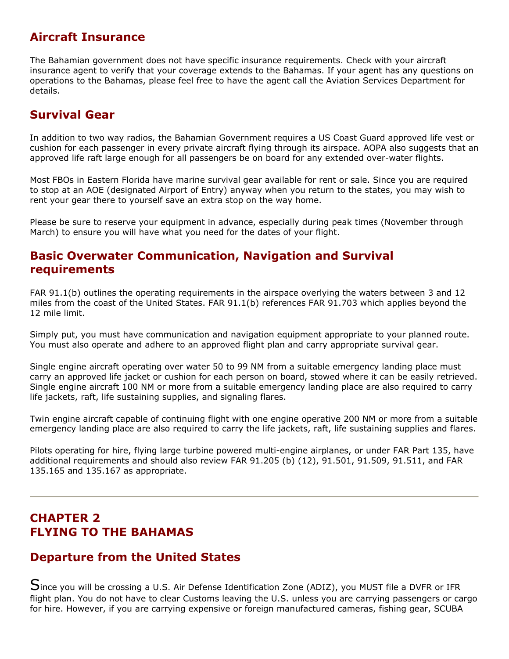# Aircraft Insurance

The Bahamian government does not have specific insurance requirements. Check with your aircraft insurance agent to verify that your coverage extends to the Bahamas. If your agent has any questions on operations to the Bahamas, please feel free to have the agent call the Aviation Services Department for details.

# Survival Gear

In addition to two way radios, the Bahamian Government requires a US Coast Guard approved life vest or cushion for each passenger in every private aircraft flying through its airspace. AOPA also suggests that an approved life raft large enough for all passengers be on board for any extended over-water flights.

Most FBOs in Eastern Florida have marine survival gear available for rent or sale. Since you are required to stop at an AOE (designated Airport of Entry) anyway when you return to the states, you may wish to rent your gear there to yourself save an extra stop on the way home.

Please be sure to reserve your equipment in advance, especially during peak times (November through March) to ensure you will have what you need for the dates of your flight.

# Basic Overwater Communication, Navigation and Survival requirements

FAR 91.1(b) outlines the operating requirements in the airspace overlying the waters between 3 and 12 miles from the coast of the United States. FAR 91.1(b) references FAR 91.703 which applies beyond the 12 mile limit.

Simply put, you must have communication and navigation equipment appropriate to your planned route. You must also operate and adhere to an approved flight plan and carry appropriate survival gear.

Single engine aircraft operating over water 50 to 99 NM from a suitable emergency landing place must carry an approved life jacket or cushion for each person on board, stowed where it can be easily retrieved. Single engine aircraft 100 NM or more from a suitable emergency landing place are also required to carry life jackets, raft, life sustaining supplies, and signaling flares.

Twin engine aircraft capable of continuing flight with one engine operative 200 NM or more from a suitable emergency landing place are also required to carry the life jackets, raft, life sustaining supplies and flares.

Pilots operating for hire, flying large turbine powered multi-engine airplanes, or under FAR Part 135, have additional requirements and should also review FAR 91.205 (b) (12), 91.501, 91.509, 91.511, and FAR 135.165 and 135.167 as appropriate.

# CHAPTER 2 FLYING TO THE BAHAMAS

# Departure from the United States

Since you will be crossing a U.S. Air Defense Identification Zone (ADIZ), you MUST file a DVFR or IFR flight plan. You do not have to clear Customs leaving the U.S. unless you are carrying passengers or cargo for hire. However, if you are carrying expensive or foreign manufactured cameras, fishing gear, SCUBA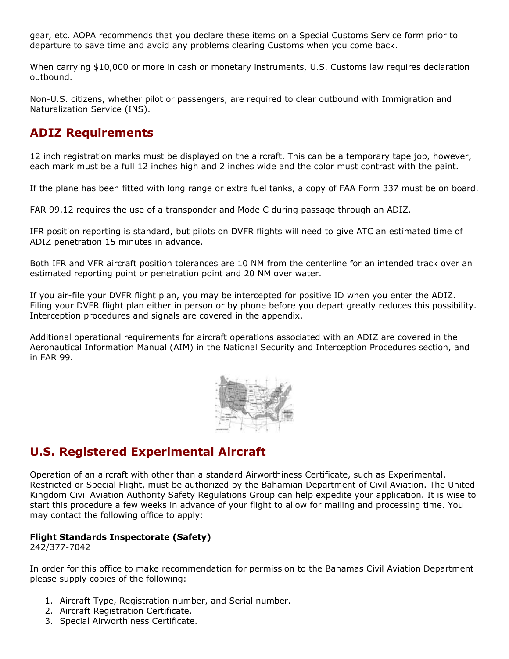gear, etc. AOPA recommends that you declare these items on a Special Customs Service form prior to departure to save time and avoid any problems clearing Customs when you come back.

When carrying \$10,000 or more in cash or monetary instruments, U.S. Customs law requires declaration outbound.

Non-U.S. citizens, whether pilot or passengers, are required to clear outbound with Immigration and Naturalization Service (INS).

# ADIZ Requirements

12 inch registration marks must be displayed on the aircraft. This can be a temporary tape job, however, each mark must be a full 12 inches high and 2 inches wide and the color must contrast with the paint.

If the plane has been fitted with long range or extra fuel tanks, a copy of FAA Form 337 must be on board.

FAR 99.12 requires the use of a transponder and Mode C during passage through an ADIZ.

IFR position reporting is standard, but pilots on DVFR flights will need to give ATC an estimated time of ADIZ penetration 15 minutes in advance.

Both IFR and VFR aircraft position tolerances are 10 NM from the centerline for an intended track over an estimated reporting point or penetration point and 20 NM over water.

If you air-file your DVFR flight plan, you may be intercepted for positive ID when you enter the ADIZ. Filing your DVFR flight plan either in person or by phone before you depart greatly reduces this possibility. Interception procedures and signals are covered in the appendix.

Additional operational requirements for aircraft operations associated with an ADIZ are covered in the Aeronautical Information Manual (AIM) in the National Security and Interception Procedures section, and in FAR 99.



# U.S. Registered Experimental Aircraft

Operation of an aircraft with other than a standard Airworthiness Certificate, such as Experimental, Restricted or Special Flight, must be authorized by the Bahamian Department of Civil Aviation. The United Kingdom Civil Aviation Authority Safety Regulations Group can help expedite your application. It is wise to start this procedure a few weeks in advance of your flight to allow for mailing and processing time. You may contact the following office to apply:

#### Flight Standards Inspectorate (Safety)

242/377-7042

In order for this office to make recommendation for permission to the Bahamas Civil Aviation Department please supply copies of the following:

- 1. Aircraft Type, Registration number, and Serial number.
- 2. Aircraft Registration Certificate.
- 3. Special Airworthiness Certificate.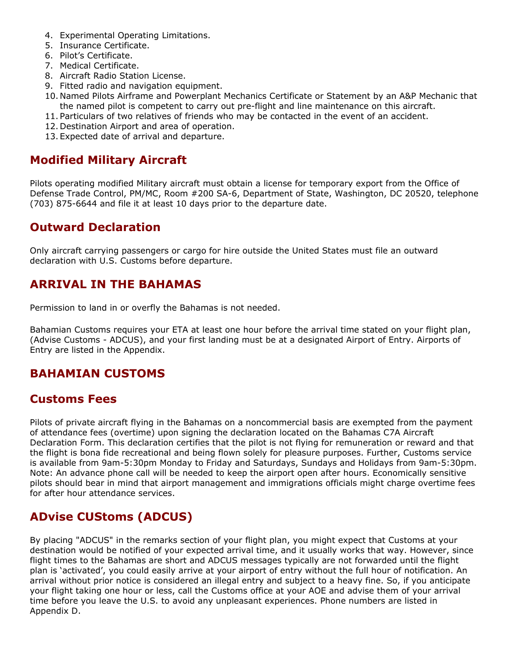- 4. Experimental Operating Limitations.
- 5. Insurance Certificate.
- 6. Pilot's Certificate.
- 7. Medical Certificate.
- 8. Aircraft Radio Station License.
- 9. Fitted radio and navigation equipment.
- 10. Named Pilots Airframe and Powerplant Mechanics Certificate or Statement by an A&P Mechanic that the named pilot is competent to carry out pre-flight and line maintenance on this aircraft.
- 11. Particulars of two relatives of friends who may be contacted in the event of an accident.
- 12. Destination Airport and area of operation.
- 13. Expected date of arrival and departure.

# Modified Military Aircraft

Pilots operating modified Military aircraft must obtain a license for temporary export from the Office of Defense Trade Control, PM/MC, Room #200 SA-6, Department of State, Washington, DC 20520, telephone (703) 875-6644 and file it at least 10 days prior to the departure date.

# Outward Declaration

Only aircraft carrying passengers or cargo for hire outside the United States must file an outward declaration with U.S. Customs before departure.

# ARRIVAL IN THE BAHAMAS

Permission to land in or overfly the Bahamas is not needed.

Bahamian Customs requires your ETA at least one hour before the arrival time stated on your flight plan, (Advise Customs - ADCUS), and your first landing must be at a designated Airport of Entry. Airports of Entry are listed in the Appendix.

# BAHAMIAN CUSTOMS

# Customs Fees

Pilots of private aircraft flying in the Bahamas on a noncommercial basis are exempted from the payment of attendance fees (overtime) upon signing the declaration located on the Bahamas C7A Aircraft Declaration Form. This declaration certifies that the pilot is not flying for remuneration or reward and that the flight is bona fide recreational and being flown solely for pleasure purposes. Further, Customs service is available from 9am-5:30pm Monday to Friday and Saturdays, Sundays and Holidays from 9am-5:30pm. Note: An advance phone call will be needed to keep the airport open after hours. Economically sensitive pilots should bear in mind that airport management and immigrations officials might charge overtime fees for after hour attendance services.

# ADvise CUStoms (ADCUS)

By placing "ADCUS" in the remarks section of your flight plan, you might expect that Customs at your destination would be notified of your expected arrival time, and it usually works that way. However, since flight times to the Bahamas are short and ADCUS messages typically are not forwarded until the flight plan is 'activated', you could easily arrive at your airport of entry without the full hour of notification. An arrival without prior notice is considered an illegal entry and subject to a heavy fine. So, if you anticipate your flight taking one hour or less, call the Customs office at your AOE and advise them of your arrival time before you leave the U.S. to avoid any unpleasant experiences. Phone numbers are listed in Appendix D.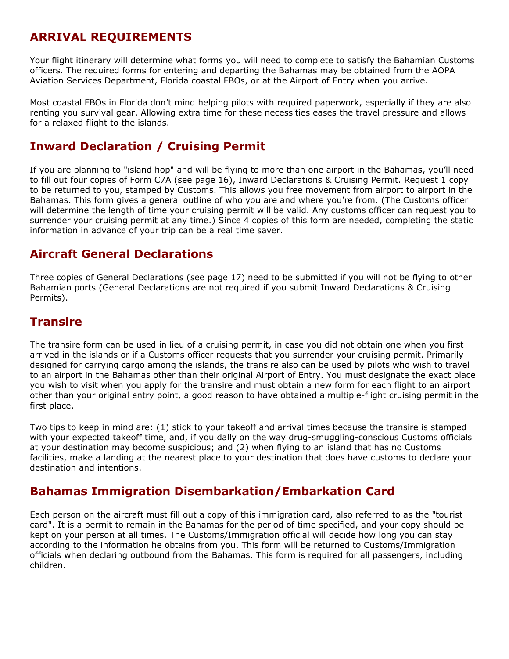# ARRIVAL REQUIREMENTS

Your flight itinerary will determine what forms you will need to complete to satisfy the Bahamian Customs officers. The required forms for entering and departing the Bahamas may be obtained from the AOPA Aviation Services Department, Florida coastal FBOs, or at the Airport of Entry when you arrive.

Most coastal FBOs in Florida don't mind helping pilots with required paperwork, especially if they are also renting you survival gear. Allowing extra time for these necessities eases the travel pressure and allows for a relaxed flight to the islands.

# Inward Declaration / Cruising Permit

If you are planning to "island hop" and will be flying to more than one airport in the Bahamas, you'll need to fill out four copies of Form C7A (see page 16), Inward Declarations & Cruising Permit. Request 1 copy to be returned to you, stamped by Customs. This allows you free movement from airport to airport in the Bahamas. This form gives a general outline of who you are and where you're from. (The Customs officer will determine the length of time your cruising permit will be valid. Any customs officer can request you to surrender your cruising permit at any time.) Since 4 copies of this form are needed, completing the static information in advance of your trip can be a real time saver.

# Aircraft General Declarations

Three copies of General Declarations (see page 17) need to be submitted if you will not be flying to other Bahamian ports (General Declarations are not required if you submit Inward Declarations & Cruising Permits).

# **Transire**

The transire form can be used in lieu of a cruising permit, in case you did not obtain one when you first arrived in the islands or if a Customs officer requests that you surrender your cruising permit. Primarily designed for carrying cargo among the islands, the transire also can be used by pilots who wish to travel to an airport in the Bahamas other than their original Airport of Entry. You must designate the exact place you wish to visit when you apply for the transire and must obtain a new form for each flight to an airport other than your original entry point, a good reason to have obtained a multiple-flight cruising permit in the first place.

Two tips to keep in mind are: (1) stick to your takeoff and arrival times because the transire is stamped with your expected takeoff time, and, if you dally on the way drug-smuggling-conscious Customs officials at your destination may become suspicious; and (2) when flying to an island that has no Customs facilities, make a landing at the nearest place to your destination that does have customs to declare your destination and intentions.

# Bahamas Immigration Disembarkation/Embarkation Card

Each person on the aircraft must fill out a copy of this immigration card, also referred to as the "tourist card". It is a permit to remain in the Bahamas for the period of time specified, and your copy should be kept on your person at all times. The Customs/Immigration official will decide how long you can stay according to the information he obtains from you. This form will be returned to Customs/Immigration officials when declaring outbound from the Bahamas. This form is required for all passengers, including children.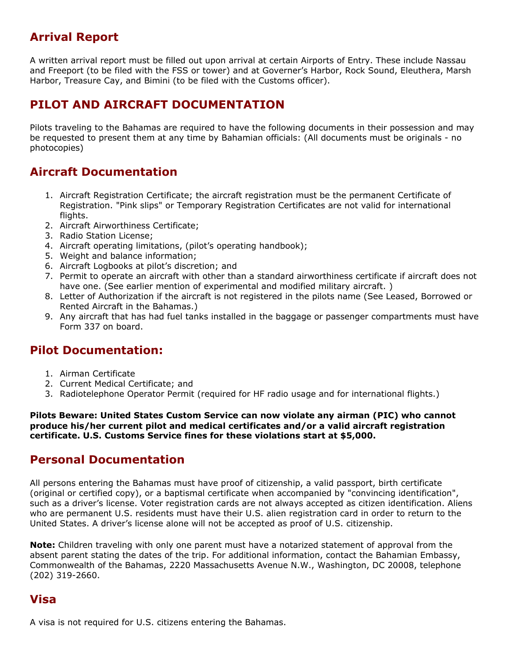# Arrival Report

A written arrival report must be filled out upon arrival at certain Airports of Entry. These include Nassau and Freeport (to be filed with the FSS or tower) and at Governer's Harbor, Rock Sound, Eleuthera, Marsh Harbor, Treasure Cay, and Bimini (to be filed with the Customs officer).

# PILOT AND AIRCRAFT DOCUMENTATION

Pilots traveling to the Bahamas are required to have the following documents in their possession and may be requested to present them at any time by Bahamian officials: (All documents must be originals - no photocopies)

# Aircraft Documentation

- 1. Aircraft Registration Certificate; the aircraft registration must be the permanent Certificate of Registration. "Pink slips" or Temporary Registration Certificates are not valid for international flights.
- 2. Aircraft Airworthiness Certificate;
- 3. Radio Station License;
- 4. Aircraft operating limitations, (pilot's operating handbook);
- 5. Weight and balance information;
- 6. Aircraft Logbooks at pilot's discretion; and
- 7. Permit to operate an aircraft with other than a standard airworthiness certificate if aircraft does not have one. (See earlier mention of experimental and modified military aircraft.)
- 8. Letter of Authorization if the aircraft is not registered in the pilots name (See Leased, Borrowed or Rented Aircraft in the Bahamas.)
- 9. Any aircraft that has had fuel tanks installed in the baggage or passenger compartments must have Form 337 on board.

# Pilot Documentation:

- 1. Airman Certificate
- 2. Current Medical Certificate; and
- 3. Radiotelephone Operator Permit (required for HF radio usage and for international flights.)

#### Pilots Beware: United States Custom Service can now violate any airman (PIC) who cannot produce his/her current pilot and medical certificates and/or a valid aircraft registration certificate. U.S. Customs Service fines for these violations start at \$5,000.

# Personal Documentation

All persons entering the Bahamas must have proof of citizenship, a valid passport, birth certificate (original or certified copy), or a baptismal certificate when accompanied by "convincing identification", such as a driver's license. Voter registration cards are not always accepted as citizen identification. Aliens who are permanent U.S. residents must have their U.S. alien registration card in order to return to the United States. A driver's license alone will not be accepted as proof of U.S. citizenship.

Note: Children traveling with only one parent must have a notarized statement of approval from the absent parent stating the dates of the trip. For additional information, contact the Bahamian Embassy, Commonwealth of the Bahamas, 2220 Massachusetts Avenue N.W., Washington, DC 20008, telephone (202) 319-2660.

# Visa

A visa is not required for U.S. citizens entering the Bahamas.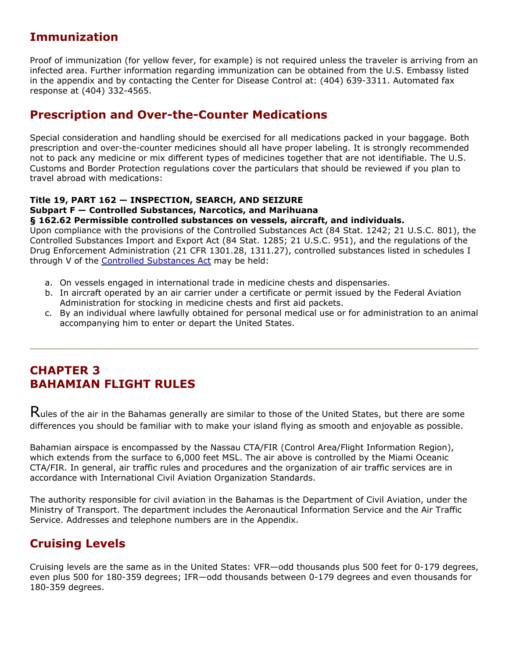# Immunization

Proof of immunization (for yellow fever, for example) is not required unless the traveler is arriving from an infected area. Further information regarding immunization can be obtained from the U.S. Embassy listed in the appendix and by contacting the Center for Disease Control at: (404) 639-3311. Automated fax response at (404) 332-4565.

# Prescription and Over-the-Counter Medications

Special consideration and handling should be exercised for all medications packed in your baggage. Both prescription and over-the-counter medicines should all have proper labeling. It is strongly recommended not to pack any medicine or mix different types of medicines together that are not identifiable. The U.S. Customs and Border Protection regulations cover the particulars that should be reviewed if you plan to travel abroad with medications:

#### Title 19, PART 162 — INSPECTION, SEARCH, AND SEIZURE

#### Subpart F — Controlled Substances, Narcotics, and Marihuana

#### § 162.62 Permissible controlled substances on vessels, aircraft, and individuals.

Upon compliance with the provisions of the Controlled Substances Act (84 Stat. 1242; 21 U.S.C. 801), the Controlled Substances Import and Export Act (84 Stat. 1285; 21 U.S.C. 951), and the regulations of the Drug Enforcement Administration (21 CFR 1301.28, 1311.27), controlled substances listed in schedules I through V of the Controlled Substances Act may be held:

- a. On vessels engaged in international trade in medicine chests and dispensaries.
- b. In aircraft operated by an air carrier under a certificate or permit issued by the Federal Aviation Administration for stocking in medicine chests and first aid packets.
- c. By an individual where lawfully obtained for personal medical use or for administration to an animal accompanying him to enter or depart the United States.

# CHAPTER 3 BAHAMIAN FLIGHT RULES

 $R$ ules of the air in the Bahamas generally are similar to those of the United States, but there are some differences you should be familiar with to make your island flying as smooth and enjoyable as possible.

Bahamian airspace is encompassed by the Nassau CTA/FIR (Control Area/Flight Information Region), which extends from the surface to 6,000 feet MSL. The air above is controlled by the Miami Oceanic CTA/FIR. In general, air traffic rules and procedures and the organization of air traffic services are in accordance with International Civil Aviation Organization Standards.

The authority responsible for civil aviation in the Bahamas is the Department of Civil Aviation, under the Ministry of Transport. The department includes the Aeronautical Information Service and the Air Traffic Service. Addresses and telephone numbers are in the Appendix.

# Cruising Levels

Cruising levels are the same as in the United States: VFR—odd thousands plus 500 feet for 0-179 degrees, even plus 500 for 180-359 degrees; IFR—odd thousands between 0-179 degrees and even thousands for 180-359 degrees.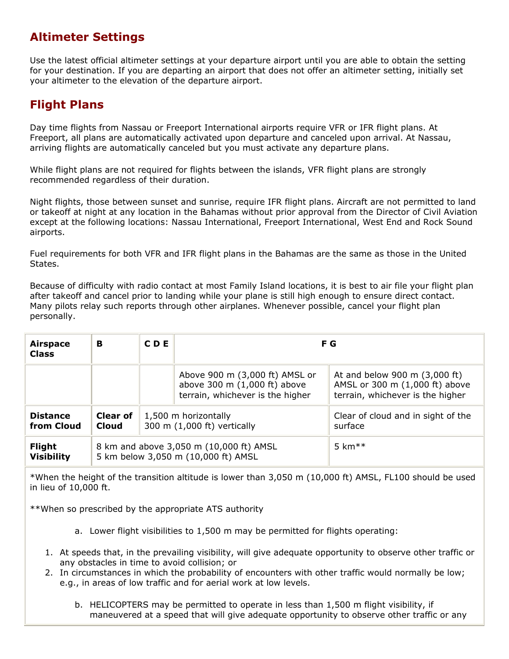# Altimeter Settings

Use the latest official altimeter settings at your departure airport until you are able to obtain the setting for your destination. If you are departing an airport that does not offer an altimeter setting, initially set your altimeter to the elevation of the departure airport.

# Flight Plans

Day time flights from Nassau or Freeport International airports require VFR or IFR flight plans. At Freeport, all plans are automatically activated upon departure and canceled upon arrival. At Nassau, arriving flights are automatically canceled but you must activate any departure plans.

While flight plans are not required for flights between the islands, VFR flight plans are strongly recommended regardless of their duration.

Night flights, those between sunset and sunrise, require IFR flight plans. Aircraft are not permitted to land or takeoff at night at any location in the Bahamas without prior approval from the Director of Civil Aviation except at the following locations: Nassau International, Freeport International, West End and Rock Sound airports.

Fuel requirements for both VFR and IFR flight plans in the Bahamas are the same as those in the United States.

Because of difficulty with radio contact at most Family Island locations, it is best to air file your flight plan after takeoff and cancel prior to landing while your plane is still high enough to ensure direct contact. Many pilots relay such reports through other airplanes. Whenever possible, cancel your flight plan personally.

| <b>Airspace</b><br><b>Class</b>    | в                               | <b>CDE</b> | F G                                                                                                |                                                                                                     |
|------------------------------------|---------------------------------|------------|----------------------------------------------------------------------------------------------------|-----------------------------------------------------------------------------------------------------|
|                                    |                                 |            | Above 900 m (3,000 ft) AMSL or<br>above 300 m (1,000 ft) above<br>terrain, whichever is the higher | At and below 900 m (3,000 ft)<br>AMSL or 300 m (1,000 ft) above<br>terrain, whichever is the higher |
| <b>Distance</b><br>from Cloud      | <b>Clear of</b><br><b>Cloud</b> |            | 1,500 m horizontally<br>300 m (1,000 ft) vertically                                                | Clear of cloud and in sight of the<br>surface                                                       |
| <b>Flight</b><br><b>Visibility</b> |                                 |            | 8 km and above 3,050 m (10,000 ft) AMSL<br>5 km below 3,050 m (10,000 ft) AMSL                     | 5 km $**$                                                                                           |

\*When the height of the transition altitude is lower than 3,050 m (10,000 ft) AMSL, FL100 should be used in lieu of 10,000 ft.

\*\*When so prescribed by the appropriate ATS authority

- a. Lower flight visibilities to 1,500 m may be permitted for flights operating:
- 1. At speeds that, in the prevailing visibility, will give adequate opportunity to observe other traffic or any obstacles in time to avoid collision; or
- 2. In circumstances in which the probability of encounters with other traffic would normally be low; e.g., in areas of low traffic and for aerial work at low levels.
	- b. HELICOPTERS may be permitted to operate in less than 1,500 m flight visibility, if maneuvered at a speed that will give adequate opportunity to observe other traffic or any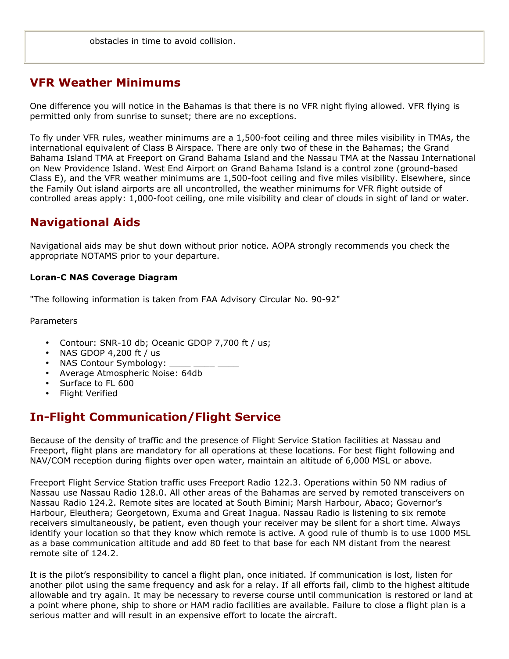# VFR Weather Minimums

One difference you will notice in the Bahamas is that there is no VFR night flying allowed. VFR flying is permitted only from sunrise to sunset; there are no exceptions.

To fly under VFR rules, weather minimums are a 1,500-foot ceiling and three miles visibility in TMAs, the international equivalent of Class B Airspace. There are only two of these in the Bahamas; the Grand Bahama Island TMA at Freeport on Grand Bahama Island and the Nassau TMA at the Nassau International on New Providence Island. West End Airport on Grand Bahama Island is a control zone (ground-based Class E), and the VFR weather minimums are 1,500-foot ceiling and five miles visibility. Elsewhere, since the Family Out island airports are all uncontrolled, the weather minimums for VFR flight outside of controlled areas apply: 1,000-foot ceiling, one mile visibility and clear of clouds in sight of land or water.

# Navigational Aids

Navigational aids may be shut down without prior notice. AOPA strongly recommends you check the appropriate NOTAMS prior to your departure.

#### Loran-C NAS Coverage Diagram

"The following information is taken from FAA Advisory Circular No. 90-92"

Parameters

- Contour: SNR-10 db; Oceanic GDOP 7,700 ft / us;
- NAS GDOP 4,200 ft / us
- NAS Contour Symbology:
- Average Atmospheric Noise: 64db
- Surface to FL 600
- Flight Verified

# In-Flight Communication/Flight Service

Because of the density of traffic and the presence of Flight Service Station facilities at Nassau and Freeport, flight plans are mandatory for all operations at these locations. For best flight following and NAV/COM reception during flights over open water, maintain an altitude of 6,000 MSL or above.

Freeport Flight Service Station traffic uses Freeport Radio 122.3. Operations within 50 NM radius of Nassau use Nassau Radio 128.0. All other areas of the Bahamas are served by remoted transceivers on Nassau Radio 124.2. Remote sites are located at South Bimini; Marsh Harbour, Abaco; Governor's Harbour, Eleuthera; Georgetown, Exuma and Great Inagua. Nassau Radio is listening to six remote receivers simultaneously, be patient, even though your receiver may be silent for a short time. Always identify your location so that they know which remote is active. A good rule of thumb is to use 1000 MSL as a base communication altitude and add 80 feet to that base for each NM distant from the nearest remote site of 124.2.

It is the pilot's responsibility to cancel a flight plan, once initiated. If communication is lost, listen for another pilot using the same frequency and ask for a relay. If all efforts fail, climb to the highest altitude allowable and try again. It may be necessary to reverse course until communication is restored or land at a point where phone, ship to shore or HAM radio facilities are available. Failure to close a flight plan is a serious matter and will result in an expensive effort to locate the aircraft.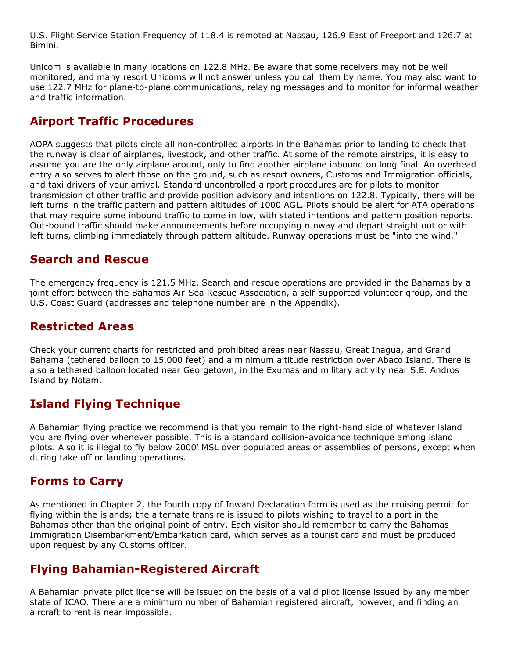U.S. Flight Service Station Frequency of 118.4 is remoted at Nassau, 126.9 East of Freeport and 126.7 at Bimini.

Unicom is available in many locations on 122.8 MHz. Be aware that some receivers may not be well monitored, and many resort Unicoms will not answer unless you call them by name. You may also want to use 122.7 MHz for plane-to-plane communications, relaying messages and to monitor for informal weather and traffic information.

# Airport Traffic Procedures

AOPA suggests that pilots circle all non-controlled airports in the Bahamas prior to landing to check that the runway is clear of airplanes, livestock, and other traffic. At some of the remote airstrips, it is easy to assume you are the only airplane around, only to find another airplane inbound on long final. An overhead entry also serves to alert those on the ground, such as resort owners, Customs and Immigration officials, and taxi drivers of your arrival. Standard uncontrolled airport procedures are for pilots to monitor transmission of other traffic and provide position advisory and intentions on 122.8. Typically, there will be left turns in the traffic pattern and pattern altitudes of 1000 AGL. Pilots should be alert for ATA operations that may require some inbound traffic to come in low, with stated intentions and pattern position reports. Out-bound traffic should make announcements before occupying runway and depart straight out or with left turns, climbing immediately through pattern altitude. Runway operations must be "into the wind."

# Search and Rescue

The emergency frequency is 121.5 MHz. Search and rescue operations are provided in the Bahamas by a joint effort between the Bahamas Air-Sea Rescue Association, a self-supported volunteer group, and the U.S. Coast Guard (addresses and telephone number are in the Appendix).

# Restricted Areas

Check your current charts for restricted and prohibited areas near Nassau, Great Inagua, and Grand Bahama (tethered balloon to 15,000 feet) and a minimum altitude restriction over Abaco Island. There is also a tethered balloon located near Georgetown, in the Exumas and military activity near S.E. Andros Island by Notam.

# Island Flying Technique

A Bahamian flying practice we recommend is that you remain to the right-hand side of whatever island you are flying over whenever possible. This is a standard collision-avoidance technique among island pilots. Also it is illegal to fly below 2000' MSL over populated areas or assemblies of persons, except when during take off or landing operations.

# Forms to Carry

As mentioned in Chapter 2, the fourth copy of Inward Declaration form is used as the cruising permit for flying within the islands; the alternate transire is issued to pilots wishing to travel to a port in the Bahamas other than the original point of entry. Each visitor should remember to carry the Bahamas Immigration Disembarkment/Embarkation card, which serves as a tourist card and must be produced upon request by any Customs officer.

# Flying Bahamian-Registered Aircraft

A Bahamian private pilot license will be issued on the basis of a valid pilot license issued by any member state of ICAO. There are a minimum number of Bahamian registered aircraft, however, and finding an aircraft to rent is near impossible.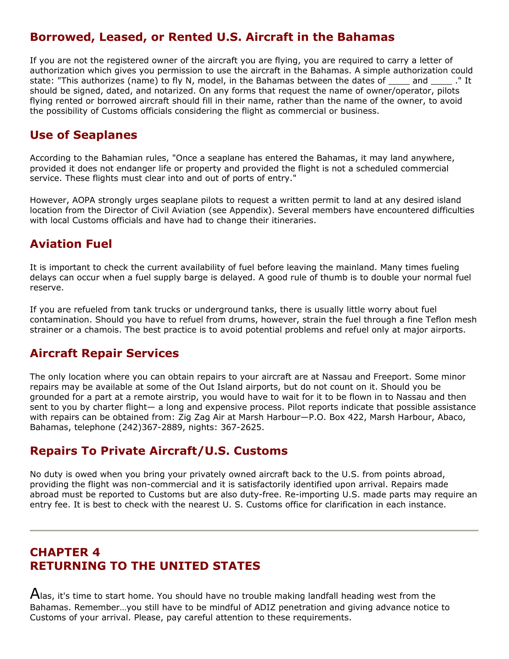# Borrowed, Leased, or Rented U.S. Aircraft in the Bahamas

If you are not the registered owner of the aircraft you are flying, you are required to carry a letter of authorization which gives you permission to use the aircraft in the Bahamas. A simple authorization could state: "This authorizes (name) to fly N, model, in the Bahamas between the dates of and ..." It should be signed, dated, and notarized. On any forms that request the name of owner/operator, pilots flying rented or borrowed aircraft should fill in their name, rather than the name of the owner, to avoid the possibility of Customs officials considering the flight as commercial or business.

# Use of Seaplanes

According to the Bahamian rules, "Once a seaplane has entered the Bahamas, it may land anywhere, provided it does not endanger life or property and provided the flight is not a scheduled commercial service. These flights must clear into and out of ports of entry."

However, AOPA strongly urges seaplane pilots to request a written permit to land at any desired island location from the Director of Civil Aviation (see Appendix). Several members have encountered difficulties with local Customs officials and have had to change their itineraries.

# Aviation Fuel

It is important to check the current availability of fuel before leaving the mainland. Many times fueling delays can occur when a fuel supply barge is delayed. A good rule of thumb is to double your normal fuel reserve.

If you are refueled from tank trucks or underground tanks, there is usually little worry about fuel contamination. Should you have to refuel from drums, however, strain the fuel through a fine Teflon mesh strainer or a chamois. The best practice is to avoid potential problems and refuel only at major airports.

# Aircraft Repair Services

The only location where you can obtain repairs to your aircraft are at Nassau and Freeport. Some minor repairs may be available at some of the Out Island airports, but do not count on it. Should you be grounded for a part at a remote airstrip, you would have to wait for it to be flown in to Nassau and then sent to you by charter flight— a long and expensive process. Pilot reports indicate that possible assistance with repairs can be obtained from: Zig Zag Air at Marsh Harbour—P.O. Box 422, Marsh Harbour, Abaco, Bahamas, telephone (242)367-2889, nights: 367-2625.

# Repairs To Private Aircraft/U.S. Customs

No duty is owed when you bring your privately owned aircraft back to the U.S. from points abroad, providing the flight was non-commercial and it is satisfactorily identified upon arrival. Repairs made abroad must be reported to Customs but are also duty-free. Re-importing U.S. made parts may require an entry fee. It is best to check with the nearest U. S. Customs office for clarification in each instance.

# CHAPTER 4 RETURNING TO THE UNITED STATES

 $A$ las, it's time to start home. You should have no trouble making landfall heading west from the Bahamas. Remember…you still have to be mindful of ADIZ penetration and giving advance notice to Customs of your arrival. Please, pay careful attention to these requirements.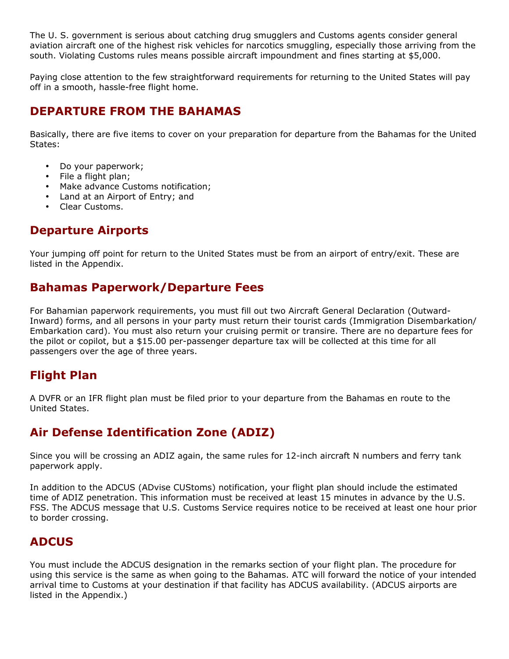The U. S. government is serious about catching drug smugglers and Customs agents consider general aviation aircraft one of the highest risk vehicles for narcotics smuggling, especially those arriving from the south. Violating Customs rules means possible aircraft impoundment and fines starting at \$5,000.

Paying close attention to the few straightforward requirements for returning to the United States will pay off in a smooth, hassle-free flight home.

# DEPARTURE FROM THE BAHAMAS

Basically, there are five items to cover on your preparation for departure from the Bahamas for the United States:

- Do your paperwork;
- File a flight plan;
- Make advance Customs notification;
- Land at an Airport of Entry; and
- Clear Customs.

# Departure Airports

Your jumping off point for return to the United States must be from an airport of entry/exit. These are listed in the Appendix.

# Bahamas Paperwork/Departure Fees

For Bahamian paperwork requirements, you must fill out two Aircraft General Declaration (Outward-Inward) forms, and all persons in your party must return their tourist cards (Immigration Disembarkation/ Embarkation card). You must also return your cruising permit or transire. There are no departure fees for the pilot or copilot, but a \$15.00 per-passenger departure tax will be collected at this time for all passengers over the age of three years.

# Flight Plan

A DVFR or an IFR flight plan must be filed prior to your departure from the Bahamas en route to the United States.

# Air Defense Identification Zone (ADIZ)

Since you will be crossing an ADIZ again, the same rules for 12-inch aircraft N numbers and ferry tank paperwork apply.

In addition to the ADCUS (ADvise CUStoms) notification, your flight plan should include the estimated time of ADIZ penetration. This information must be received at least 15 minutes in advance by the U.S. FSS. The ADCUS message that U.S. Customs Service requires notice to be received at least one hour prior to border crossing.

# **ADCUS**

You must include the ADCUS designation in the remarks section of your flight plan. The procedure for using this service is the same as when going to the Bahamas. ATC will forward the notice of your intended arrival time to Customs at your destination if that facility has ADCUS availability. (ADCUS airports are listed in the Appendix.)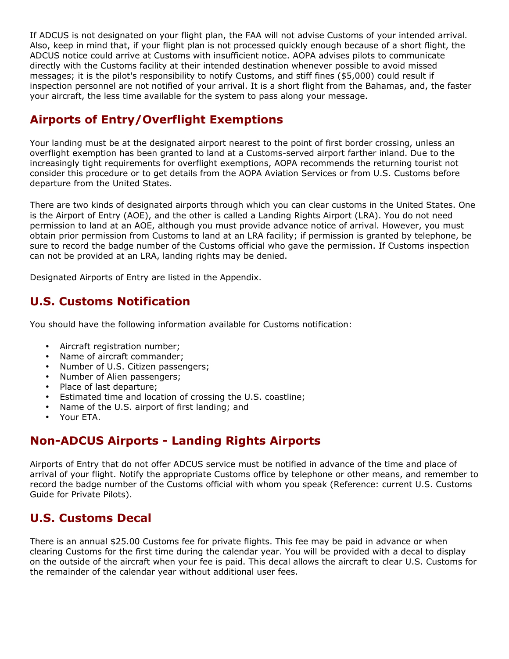If ADCUS is not designated on your flight plan, the FAA will not advise Customs of your intended arrival. Also, keep in mind that, if your flight plan is not processed quickly enough because of a short flight, the ADCUS notice could arrive at Customs with insufficient notice. AOPA advises pilots to communicate directly with the Customs facility at their intended destination whenever possible to avoid missed messages; it is the pilot's responsibility to notify Customs, and stiff fines (\$5,000) could result if inspection personnel are not notified of your arrival. It is a short flight from the Bahamas, and, the faster your aircraft, the less time available for the system to pass along your message.

# Airports of Entry/Overflight Exemptions

Your landing must be at the designated airport nearest to the point of first border crossing, unless an overflight exemption has been granted to land at a Customs-served airport farther inland. Due to the increasingly tight requirements for overflight exemptions, AOPA recommends the returning tourist not consider this procedure or to get details from the AOPA Aviation Services or from U.S. Customs before departure from the United States.

There are two kinds of designated airports through which you can clear customs in the United States. One is the Airport of Entry (AOE), and the other is called a Landing Rights Airport (LRA). You do not need permission to land at an AOE, although you must provide advance notice of arrival. However, you must obtain prior permission from Customs to land at an LRA facility; if permission is granted by telephone, be sure to record the badge number of the Customs official who gave the permission. If Customs inspection can not be provided at an LRA, landing rights may be denied.

Designated Airports of Entry are listed in the Appendix.

# U.S. Customs Notification

You should have the following information available for Customs notification:

- Aircraft registration number;
- Name of aircraft commander;
- Number of U.S. Citizen passengers;
- Number of Alien passengers;
- Place of last departure;
- Estimated time and location of crossing the U.S. coastline;
- Name of the U.S. airport of first landing; and
- Your ETA.

# Non-ADCUS Airports - Landing Rights Airports

Airports of Entry that do not offer ADCUS service must be notified in advance of the time and place of arrival of your flight. Notify the appropriate Customs office by telephone or other means, and remember to record the badge number of the Customs official with whom you speak (Reference: current U.S. Customs Guide for Private Pilots).

# U.S. Customs Decal

There is an annual \$25.00 Customs fee for private flights. This fee may be paid in advance or when clearing Customs for the first time during the calendar year. You will be provided with a decal to display on the outside of the aircraft when your fee is paid. This decal allows the aircraft to clear U.S. Customs for the remainder of the calendar year without additional user fees.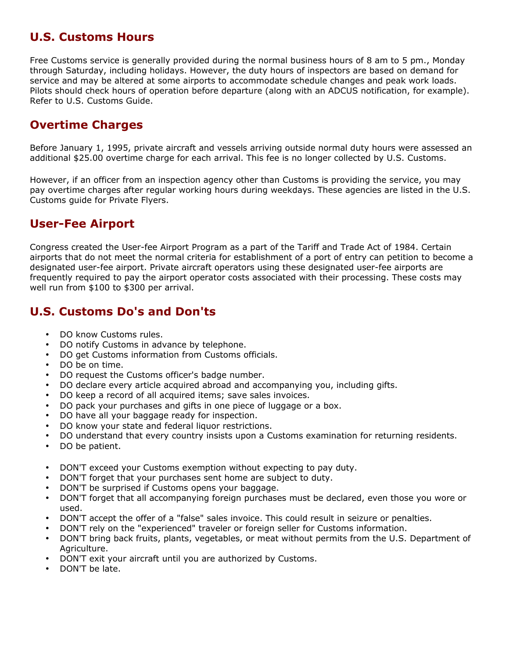# U.S. Customs Hours

Free Customs service is generally provided during the normal business hours of 8 am to 5 pm., Monday through Saturday, including holidays. However, the duty hours of inspectors are based on demand for service and may be altered at some airports to accommodate schedule changes and peak work loads. Pilots should check hours of operation before departure (along with an ADCUS notification, for example). Refer to U.S. Customs Guide.

# Overtime Charges

Before January 1, 1995, private aircraft and vessels arriving outside normal duty hours were assessed an additional \$25.00 overtime charge for each arrival. This fee is no longer collected by U.S. Customs.

However, if an officer from an inspection agency other than Customs is providing the service, you may pay overtime charges after regular working hours during weekdays. These agencies are listed in the U.S. Customs guide for Private Flyers.

# User-Fee Airport

Congress created the User-fee Airport Program as a part of the Tariff and Trade Act of 1984. Certain airports that do not meet the normal criteria for establishment of a port of entry can petition to become a designated user-fee airport. Private aircraft operators using these designated user-fee airports are frequently required to pay the airport operator costs associated with their processing. These costs may well run from \$100 to \$300 per arrival.

# U.S. Customs Do's and Don'ts

- DO know Customs rules.
- DO notify Customs in advance by telephone.
- DO get Customs information from Customs officials.
- DO be on time.
- DO request the Customs officer's badge number.
- DO declare every article acquired abroad and accompanying you, including gifts.
- DO keep a record of all acquired items; save sales invoices.
- DO pack your purchases and gifts in one piece of luggage or a box.
- DO have all your baggage ready for inspection.
- DO know your state and federal liquor restrictions.
- DO understand that every country insists upon a Customs examination for returning residents.
- DO be patient.
- DON'T exceed your Customs exemption without expecting to pay duty.
- DON'T forget that your purchases sent home are subject to duty.
- DON'T be surprised if Customs opens your baggage.
- DON'T forget that all accompanying foreign purchases must be declared, even those you wore or used.
- DON'T accept the offer of a "false" sales invoice. This could result in seizure or penalties.
- DON'T rely on the "experienced" traveler or foreign seller for Customs information.
- DON'T bring back fruits, plants, vegetables, or meat without permits from the U.S. Department of Agriculture.
- DON'T exit your aircraft until you are authorized by Customs.
- DON'T be late.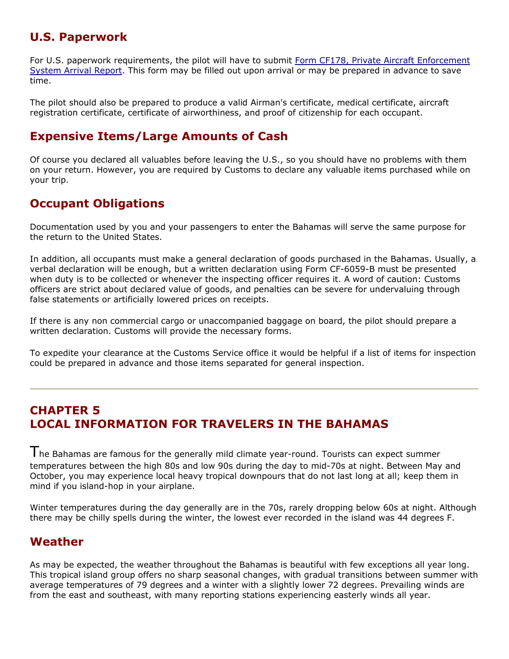# U.S. Paperwork

For U.S. paperwork requirements, the pilot will have to submit Form CF178, Private Aircraft Enforcement System Arrival Report. This form may be filled out upon arrival or may be prepared in advance to save time.

The pilot should also be prepared to produce a valid Airman's certificate, medical certificate, aircraft registration certificate, certificate of airworthiness, and proof of citizenship for each occupant.

# Expensive Items/Large Amounts of Cash

Of course you declared all valuables before leaving the U.S., so you should have no problems with them on your return. However, you are required by Customs to declare any valuable items purchased while on your trip.

# Occupant Obligations

Documentation used by you and your passengers to enter the Bahamas will serve the same purpose for the return to the United States.

In addition, all occupants must make a general declaration of goods purchased in the Bahamas. Usually, a verbal declaration will be enough, but a written declaration using Form CF-6059-B must be presented when duty is to be collected or whenever the inspecting officer requires it. A word of caution: Customs officers are strict about declared value of goods, and penalties can be severe for undervaluing through false statements or artificially lowered prices on receipts.

If there is any non commercial cargo or unaccompanied baggage on board, the pilot should prepare a written declaration. Customs will provide the necessary forms.

To expedite your clearance at the Customs Service office it would be helpful if a list of items for inspection could be prepared in advance and those items separated for general inspection.

# CHAPTER 5 LOCAL INFORMATION FOR TRAVELERS IN THE BAHAMAS

The Bahamas are famous for the generally mild climate year-round. Tourists can expect summer temperatures between the high 80s and low 90s during the day to mid-70s at night. Between May and October, you may experience local heavy tropical downpours that do not last long at all; keep them in mind if you island-hop in your airplane.

Winter temperatures during the day generally are in the 70s, rarely dropping below 60s at night. Although there may be chilly spells during the winter, the lowest ever recorded in the island was 44 degrees F.

# Weather

As may be expected, the weather throughout the Bahamas is beautiful with few exceptions all year long. This tropical island group offers no sharp seasonal changes, with gradual transitions between summer with average temperatures of 79 degrees and a winter with a slightly lower 72 degrees. Prevailing winds are from the east and southeast, with many reporting stations experiencing easterly winds all year.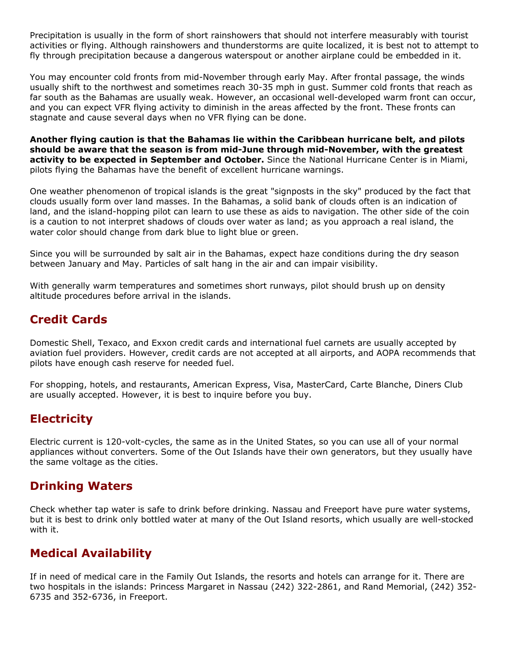Precipitation is usually in the form of short rainshowers that should not interfere measurably with tourist activities or flying. Although rainshowers and thunderstorms are quite localized, it is best not to attempt to fly through precipitation because a dangerous waterspout or another airplane could be embedded in it.

You may encounter cold fronts from mid-November through early May. After frontal passage, the winds usually shift to the northwest and sometimes reach 30-35 mph in gust. Summer cold fronts that reach as far south as the Bahamas are usually weak. However, an occasional well-developed warm front can occur, and you can expect VFR flying activity to diminish in the areas affected by the front. These fronts can stagnate and cause several days when no VFR flying can be done.

Another flying caution is that the Bahamas lie within the Caribbean hurricane belt, and pilots should be aware that the season is from mid-June through mid-November, with the greatest activity to be expected in September and October. Since the National Hurricane Center is in Miami, pilots flying the Bahamas have the benefit of excellent hurricane warnings.

One weather phenomenon of tropical islands is the great "signposts in the sky" produced by the fact that clouds usually form over land masses. In the Bahamas, a solid bank of clouds often is an indication of land, and the island-hopping pilot can learn to use these as aids to navigation. The other side of the coin is a caution to not interpret shadows of clouds over water as land; as you approach a real island, the water color should change from dark blue to light blue or green.

Since you will be surrounded by salt air in the Bahamas, expect haze conditions during the dry season between January and May. Particles of salt hang in the air and can impair visibility.

With generally warm temperatures and sometimes short runways, pilot should brush up on density altitude procedures before arrival in the islands.

# Credit Cards

Domestic Shell, Texaco, and Exxon credit cards and international fuel carnets are usually accepted by aviation fuel providers. However, credit cards are not accepted at all airports, and AOPA recommends that pilots have enough cash reserve for needed fuel.

For shopping, hotels, and restaurants, American Express, Visa, MasterCard, Carte Blanche, Diners Club are usually accepted. However, it is best to inquire before you buy.

# **Electricity**

Electric current is 120-volt-cycles, the same as in the United States, so you can use all of your normal appliances without converters. Some of the Out Islands have their own generators, but they usually have the same voltage as the cities.

# Drinking Waters

Check whether tap water is safe to drink before drinking. Nassau and Freeport have pure water systems, but it is best to drink only bottled water at many of the Out Island resorts, which usually are well-stocked with it.

# Medical Availability

If in need of medical care in the Family Out Islands, the resorts and hotels can arrange for it. There are two hospitals in the islands: Princess Margaret in Nassau (242) 322-2861, and Rand Memorial, (242) 352- 6735 and 352-6736, in Freeport.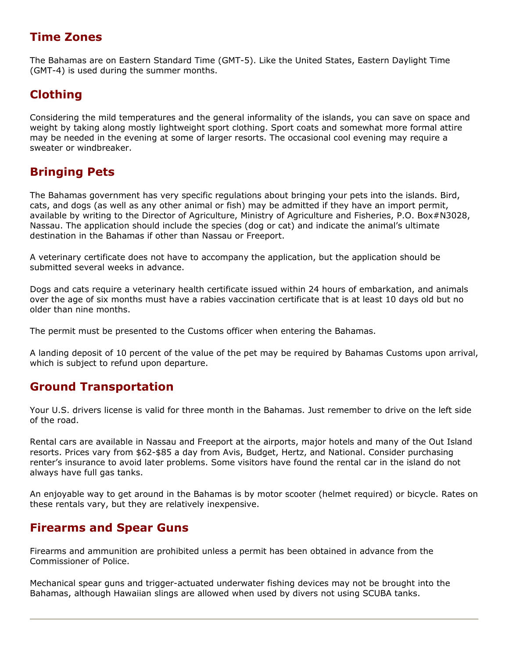# Time Zones

The Bahamas are on Eastern Standard Time (GMT-5). Like the United States, Eastern Daylight Time (GMT-4) is used during the summer months.

# Clothing

Considering the mild temperatures and the general informality of the islands, you can save on space and weight by taking along mostly lightweight sport clothing. Sport coats and somewhat more formal attire may be needed in the evening at some of larger resorts. The occasional cool evening may require a sweater or windbreaker.

# Bringing Pets

The Bahamas government has very specific regulations about bringing your pets into the islands. Bird, cats, and dogs (as well as any other animal or fish) may be admitted if they have an import permit, available by writing to the Director of Agriculture, Ministry of Agriculture and Fisheries, P.O. Box#N3028, Nassau. The application should include the species (dog or cat) and indicate the animal's ultimate destination in the Bahamas if other than Nassau or Freeport.

A veterinary certificate does not have to accompany the application, but the application should be submitted several weeks in advance.

Dogs and cats require a veterinary health certificate issued within 24 hours of embarkation, and animals over the age of six months must have a rabies vaccination certificate that is at least 10 days old but no older than nine months.

The permit must be presented to the Customs officer when entering the Bahamas.

A landing deposit of 10 percent of the value of the pet may be required by Bahamas Customs upon arrival, which is subject to refund upon departure.

# Ground Transportation

Your U.S. drivers license is valid for three month in the Bahamas. Just remember to drive on the left side of the road.

Rental cars are available in Nassau and Freeport at the airports, major hotels and many of the Out Island resorts. Prices vary from \$62-\$85 a day from Avis, Budget, Hertz, and National. Consider purchasing renter's insurance to avoid later problems. Some visitors have found the rental car in the island do not always have full gas tanks.

An enjoyable way to get around in the Bahamas is by motor scooter (helmet required) or bicycle. Rates on these rentals vary, but they are relatively inexpensive.

# Firearms and Spear Guns

Firearms and ammunition are prohibited unless a permit has been obtained in advance from the Commissioner of Police.

Mechanical spear guns and trigger-actuated underwater fishing devices may not be brought into the Bahamas, although Hawaiian slings are allowed when used by divers not using SCUBA tanks.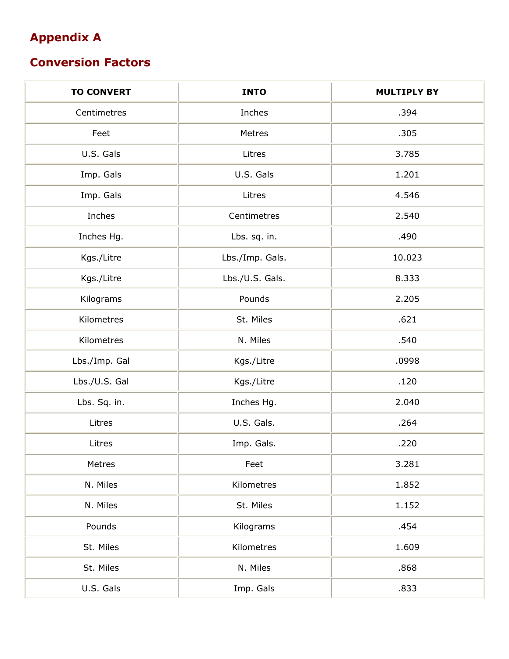# Appendix A

# Conversion Factors

| <b>TO CONVERT</b> | <b>INTO</b>     | <b>MULTIPLY BY</b> |
|-------------------|-----------------|--------------------|
| Centimetres       | Inches          | .394               |
| Feet              | Metres          | .305               |
| U.S. Gals         | Litres          | 3.785              |
| Imp. Gals         | U.S. Gals       | 1.201              |
| Imp. Gals         | Litres          | 4.546              |
| Inches            | Centimetres     | 2.540              |
| Inches Hg.        | Lbs. sq. in.    | .490               |
| Kgs./Litre        | Lbs./Imp. Gals. | 10.023             |
| Kgs./Litre        | Lbs./U.S. Gals. | 8.333              |
| Kilograms         | Pounds          | 2.205              |
| Kilometres        | St. Miles       | .621               |
| Kilometres        | N. Miles        | .540               |
| Lbs./Imp. Gal     | Kgs./Litre      | .0998              |
| Lbs./U.S. Gal     | Kgs./Litre      | .120               |
| Lbs. Sq. in.      | Inches Hg.      | 2.040              |
| Litres            | U.S. Gals.      | .264               |
| Litres            | Imp. Gals.      | .220               |
| Metres            | Feet            | 3.281              |
| N. Miles          | Kilometres      | 1.852              |
| N. Miles          | St. Miles       | 1.152              |
| Pounds            | Kilograms       | .454               |
| St. Miles         | Kilometres      | 1.609              |
| St. Miles         | N. Miles        | .868               |
| U.S. Gals         | Imp. Gals       | .833               |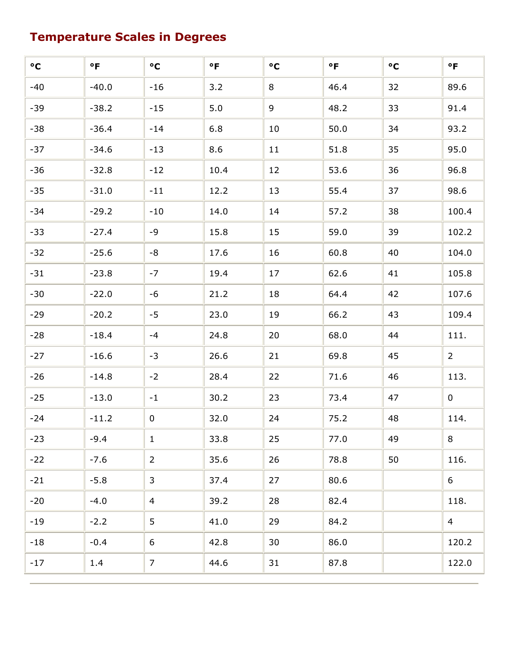# Temperature Scales in Degrees

| $\circ$ C | $\circ$ F | $\circ$ C      | $\circ$ F | $\circ$ C | $\circ$ F | $\circ$ C | $\circ$ F      |
|-----------|-----------|----------------|-----------|-----------|-----------|-----------|----------------|
| $-40$     | $-40.0$   | $-16$          | 3.2       | 8         | 46.4      | 32        | 89.6           |
| $-39$     | $-38.2$   | $-15$          | 5.0       | 9         | 48.2      | 33        | 91.4           |
| $-38$     | $-36.4$   | $-14$          | 6.8       | 10        | 50.0      | 34        | 93.2           |
| $-37$     | $-34.6$   | $-13$          | 8.6       | 11        | 51.8      | 35        | 95.0           |
| $-36$     | $-32.8$   | $-12$          | 10.4      | 12        | 53.6      | 36        | 96.8           |
| $-35$     | $-31.0$   | $-11$          | 12.2      | 13        | 55.4      | 37        | 98.6           |
| $-34$     | $-29.2$   | $-10$          | 14.0      | 14        | 57.2      | 38        | 100.4          |
| $-33$     | $-27.4$   | $-9$           | 15.8      | 15        | 59.0      | 39        | 102.2          |
| $-32$     | $-25.6$   | $\text{-}8$    | 17.6      | 16        | 60.8      | 40        | 104.0          |
| $-31$     | $-23.8$   | $-7$           | 19.4      | 17        | 62.6      | 41        | 105.8          |
| $-30$     | $-22.0$   | $-6$           | 21.2      | 18        | 64.4      | 42        | 107.6          |
| $-29$     | $-20.2$   | $-5$           | 23.0      | 19        | 66.2      | 43        | 109.4          |
| $-28$     | $-18.4$   | $-4$           | 24.8      | 20        | 68.0      | 44        | 111.           |
| $-27$     | $-16.6$   | $-3$           | 26.6      | 21        | 69.8      | 45        | $2^{\circ}$    |
| $-26$     | $-14.8$   | $-2$           | 28.4      | 22        | 71.6      | 46        | 113.           |
| $-25$     | $-13.0$   | $-1$           | 30.2      | 23        | 73.4      | 47        | $\overline{0}$ |
| $-24$     | $-11.2$   | $\bf{0}$       | 32.0      | 24        | 75.2      | 48        | 114.           |
| $-23$     | $-9.4$    | $\mathbf{1}$   | 33.8      | 25        | 77.0      | 49        | 8              |
| $-22$     | $-7.6$    | $\overline{2}$ | 35.6      | 26        | 78.8      | 50        | 116.           |
| $-21$     | $-5.8$    | 3              | 37.4      | 27        | 80.6      |           | 6              |
| $-20$     | $-4.0$    | $\overline{4}$ | 39.2      | 28        | 82.4      |           | 118.           |
| $-19$     | $-2.2$    | 5              | 41.0      | 29        | 84.2      |           | $\overline{4}$ |
| $-18$     | $-0.4$    | 6              | 42.8      | 30        | 86.0      |           | 120.2          |
| $-17$     | 1.4       | $\overline{7}$ | 44.6      | 31        | 87.8      |           | 122.0          |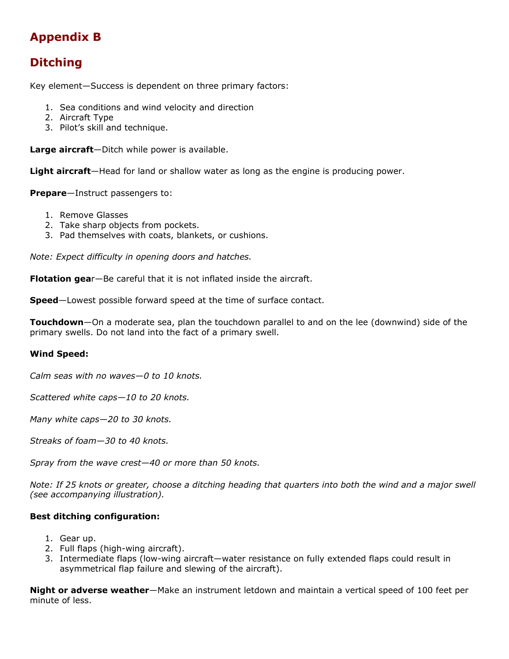# Appendix B

# Ditching

Key element—Success is dependent on three primary factors:

- 1. Sea conditions and wind velocity and direction
- 2. Aircraft Type
- 3. Pilot's skill and technique.

Large aircraft-Ditch while power is available.

Light aircraft—Head for land or shallow water as long as the engine is producing power.

Prepare-Instruct passengers to:

- 1. Remove Glasses
- 2. Take sharp objects from pockets.
- 3. Pad themselves with coats, blankets, or cushions.

Note: Expect difficulty in opening doors and hatches.

Flotation gear-Be careful that it is not inflated inside the aircraft.

**Speed**—Lowest possible forward speed at the time of surface contact.

Touchdown—On a moderate sea, plan the touchdown parallel to and on the lee (downwind) side of the primary swells. Do not land into the fact of a primary swell.

#### Wind Speed:

Calm seas with no waves—0 to 10 knots.

Scattered white caps—10 to 20 knots.

Many white caps—20 to 30 knots.

Streaks of foam—30 to 40 knots.

Spray from the wave crest—40 or more than 50 knots.

Note: If 25 knots or greater, choose a ditching heading that quarters into both the wind and a major swell (see accompanying illustration).

#### Best ditching configuration:

- 1. Gear up.
- 2. Full flaps (high-wing aircraft).
- 3. Intermediate flaps (low-wing aircraft—water resistance on fully extended flaps could result in asymmetrical flap failure and slewing of the aircraft).

Night or adverse weather-Make an instrument letdown and maintain a vertical speed of 100 feet per minute of less.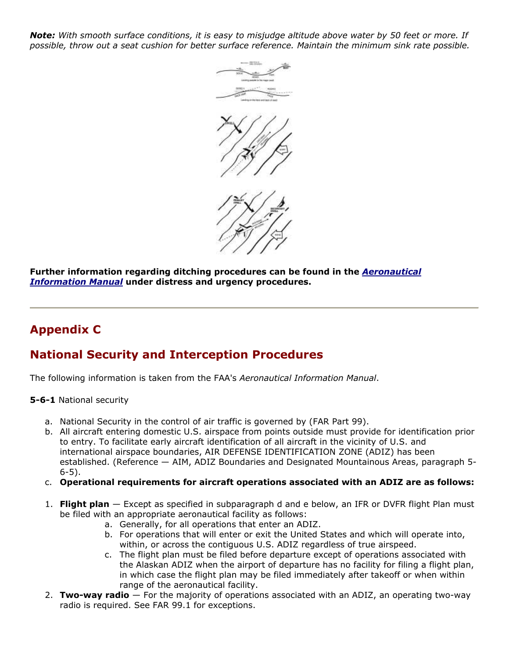Note: With smooth surface conditions, it is easy to misjudge altitude above water by 50 feet or more. If possible, throw out a seat cushion for better surface reference. Maintain the minimum sink rate possible.



Further information regarding ditching procedures can be found in the **Aeronautical Information Manual** under distress and urgency procedures.

# Appendix C

# National Security and Interception Procedures

The following information is taken from the FAA's Aeronautical Information Manual.

5-6-1 National security

- a. National Security in the control of air traffic is governed by (FAR Part 99).
- b. All aircraft entering domestic U.S. airspace from points outside must provide for identification prior to entry. To facilitate early aircraft identification of all aircraft in the vicinity of U.S. and international airspace boundaries, AIR DEFENSE IDENTIFICATION ZONE (ADIZ) has been established. (Reference — AIM, ADIZ Boundaries and Designated Mountainous Areas, paragraph 5- 6-5).
- c. Operational requirements for aircraft operations associated with an ADIZ are as follows:
- 1. Flight plan Except as specified in subparagraph d and e below, an IFR or DVFR flight Plan must be filed with an appropriate aeronautical facility as follows:
	- a. Generally, for all operations that enter an ADIZ.
	- b. For operations that will enter or exit the United States and which will operate into, within, or across the contiguous U.S. ADIZ regardless of true airspeed.
	- c. The flight plan must be filed before departure except of operations associated with the Alaskan ADIZ when the airport of departure has no facility for filing a flight plan, in which case the flight plan may be filed immediately after takeoff or when within range of the aeronautical facility.
- 2. Two-way radio  $-$  For the majority of operations associated with an ADIZ, an operating two-way radio is required. See FAR 99.1 for exceptions.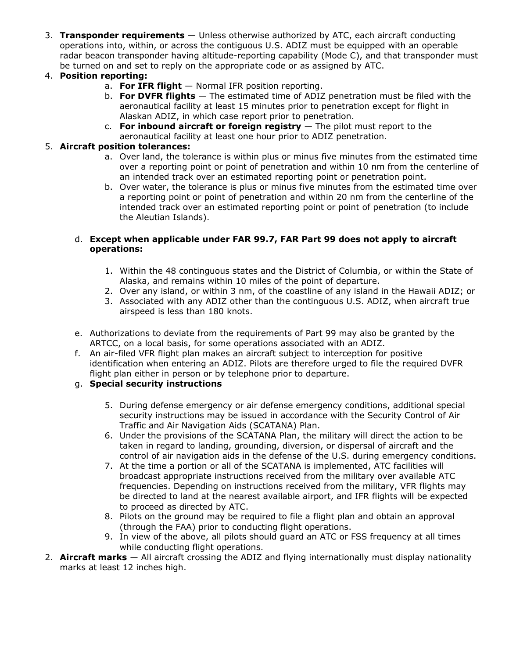3. Transponder requirements  $-$  Unless otherwise authorized by ATC, each aircraft conducting operations into, within, or across the contiguous U.S. ADIZ must be equipped with an operable radar beacon transponder having altitude-reporting capability (Mode C), and that transponder must be turned on and set to reply on the appropriate code or as assigned by ATC.

#### 4. Position reporting:

- a. For IFR flight  $-$  Normal IFR position reporting.
- b. For DVFR flights  $-$  The estimated time of ADIZ penetration must be filed with the aeronautical facility at least 15 minutes prior to penetration except for flight in Alaskan ADIZ, in which case report prior to penetration.
- c. For inbound aircraft or foreign registry  $-$  The pilot must report to the aeronautical facility at least one hour prior to ADIZ penetration.

#### 5. Aircraft position tolerances:

- a. Over land, the tolerance is within plus or minus five minutes from the estimated time over a reporting point or point of penetration and within 10 nm from the centerline of an intended track over an estimated reporting point or penetration point.
- b. Over water, the tolerance is plus or minus five minutes from the estimated time over a reporting point or point of penetration and within 20 nm from the centerline of the intended track over an estimated reporting point or point of penetration (to include the Aleutian Islands).

#### d. Except when applicable under FAR 99.7, FAR Part 99 does not apply to aircraft operations:

- 1. Within the 48 continguous states and the District of Columbia, or within the State of Alaska, and remains within 10 miles of the point of departure.
- 2. Over any island, or within 3 nm, of the coastline of any island in the Hawaii ADIZ; or
- 3. Associated with any ADIZ other than the continguous U.S. ADIZ, when aircraft true airspeed is less than 180 knots.
- e. Authorizations to deviate from the requirements of Part 99 may also be granted by the ARTCC, on a local basis, for some operations associated with an ADIZ.
- f. An air-filed VFR flight plan makes an aircraft subject to interception for positive identification when entering an ADIZ. Pilots are therefore urged to file the required DVFR flight plan either in person or by telephone prior to departure.

#### g. Special security instructions

- 5. During defense emergency or air defense emergency conditions, additional special security instructions may be issued in accordance with the Security Control of Air Traffic and Air Navigation Aids (SCATANA) Plan.
- 6. Under the provisions of the SCATANA Plan, the military will direct the action to be taken in regard to landing, grounding, diversion, or dispersal of aircraft and the control of air navigation aids in the defense of the U.S. during emergency conditions.
- 7. At the time a portion or all of the SCATANA is implemented, ATC facilities will broadcast appropriate instructions received from the military over available ATC frequencies. Depending on instructions received from the military, VFR flights may be directed to land at the nearest available airport, and IFR flights will be expected to proceed as directed by ATC.
- 8. Pilots on the ground may be required to file a flight plan and obtain an approval (through the FAA) prior to conducting flight operations.
- 9. In view of the above, all pilots should guard an ATC or FSS frequency at all times while conducting flight operations.
- 2. **Aircraft marks**  $-$  All aircraft crossing the ADIZ and flying internationally must display nationality marks at least 12 inches high.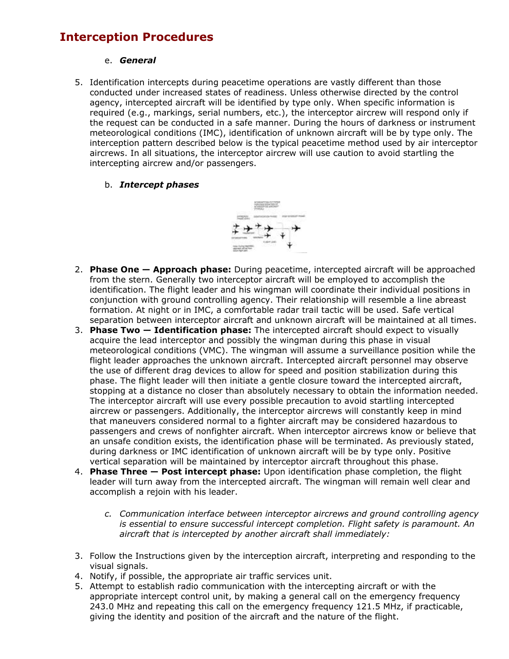# Interception Procedures

#### e. General

5. Identification intercepts during peacetime operations are vastly different than those conducted under increased states of readiness. Unless otherwise directed by the control agency, intercepted aircraft will be identified by type only. When specific information is required (e.g., markings, serial numbers, etc.), the interceptor aircrew will respond only if the request can be conducted in a safe manner. During the hours of darkness or instrument meteorological conditions (IMC), identification of unknown aircraft will be by type only. The interception pattern described below is the typical peacetime method used by air interceptor aircrews. In all situations, the interceptor aircrew will use caution to avoid startling the intercepting aircrew and/or passengers.

#### b. Intercept phases



- 2. Phase One Approach phase: During peacetime, intercepted aircraft will be approached from the stern. Generally two interceptor aircraft will be employed to accomplish the identification. The flight leader and his wingman will coordinate their individual positions in conjunction with ground controlling agency. Their relationship will resemble a line abreast formation. At night or in IMC, a comfortable radar trail tactic will be used. Safe vertical separation between interceptor aircraft and unknown aircraft will be maintained at all times.
- 3. Phase Two  $-$  Identification phase: The intercepted aircraft should expect to visually acquire the lead interceptor and possibly the wingman during this phase in visual meteorological conditions (VMC). The wingman will assume a surveillance position while the flight leader approaches the unknown aircraft. Intercepted aircraft personnel may observe the use of different drag devices to allow for speed and position stabilization during this phase. The flight leader will then initiate a gentle closure toward the intercepted aircraft, stopping at a distance no closer than absolutely necessary to obtain the information needed. The interceptor aircraft will use every possible precaution to avoid startling intercepted aircrew or passengers. Additionally, the interceptor aircrews will constantly keep in mind that maneuvers considered normal to a fighter aircraft may be considered hazardous to passengers and crews of nonfighter aircraft. When interceptor aircrews know or believe that an unsafe condition exists, the identification phase will be terminated. As previously stated, during darkness or IMC identification of unknown aircraft will be by type only. Positive vertical separation will be maintained by interceptor aircraft throughout this phase.
- 4. Phase Three Post intercept phase: Upon identification phase completion, the flight leader will turn away from the intercepted aircraft. The wingman will remain well clear and accomplish a rejoin with his leader.
	- c. Communication interface between interceptor aircrews and ground controlling agency is essential to ensure successful intercept completion. Flight safety is paramount. An aircraft that is intercepted by another aircraft shall immediately:
- 3. Follow the Instructions given by the interception aircraft, interpreting and responding to the visual signals.
- 4. Notify, if possible, the appropriate air traffic services unit.
- 5. Attempt to establish radio communication with the intercepting aircraft or with the appropriate intercept control unit, by making a general call on the emergency frequency 243.0 MHz and repeating this call on the emergency frequency 121.5 MHz, if practicable, giving the identity and position of the aircraft and the nature of the flight.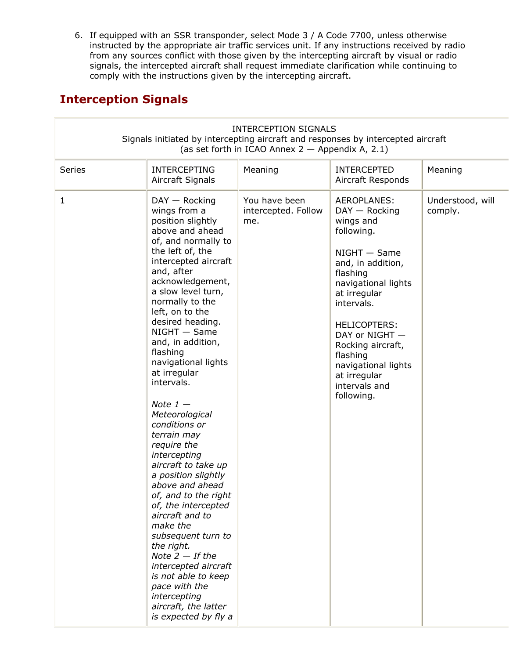6. If equipped with an SSR transponder, select Mode 3 / A Code 7700, unless otherwise instructed by the appropriate air traffic services unit. If any instructions received by radio from any sources conflict with those given by the intercepting aircraft by visual or radio signals, the intercepted aircraft shall request immediate clarification while continuing to comply with the instructions given by the intercepting aircraft.

# Interception Signals

|              |                                                                                                                                                                                                                                                                                                                                                                                                                                                                                                                                                                                                                                                                                                                                                                                                            | <b>INTERCEPTION SIGNALS</b><br>(as set forth in ICAO Annex $2 -$ Appendix A, 2.1) | Signals initiated by intercepting aircraft and responses by intercepted aircraft                                                                                                                                                                                                                                  |                             |
|--------------|------------------------------------------------------------------------------------------------------------------------------------------------------------------------------------------------------------------------------------------------------------------------------------------------------------------------------------------------------------------------------------------------------------------------------------------------------------------------------------------------------------------------------------------------------------------------------------------------------------------------------------------------------------------------------------------------------------------------------------------------------------------------------------------------------------|-----------------------------------------------------------------------------------|-------------------------------------------------------------------------------------------------------------------------------------------------------------------------------------------------------------------------------------------------------------------------------------------------------------------|-----------------------------|
| Series       | <b>INTERCEPTING</b><br>Aircraft Signals                                                                                                                                                                                                                                                                                                                                                                                                                                                                                                                                                                                                                                                                                                                                                                    | Meaning                                                                           | <b>INTERCEPTED</b><br>Aircraft Responds                                                                                                                                                                                                                                                                           | Meaning                     |
| $\mathbf{1}$ | $DAY - Rocking$<br>wings from a<br>position slightly<br>above and ahead<br>of, and normally to<br>the left of, the<br>intercepted aircraft<br>and, after<br>acknowledgement,<br>a slow level turn,<br>normally to the<br>left, on to the<br>desired heading.<br>$NIGHT - Same$<br>and, in addition,<br>flashing<br>navigational lights<br>at irregular<br>intervals.<br>Note $1-$<br>Meteorological<br>conditions or<br>terrain may<br>require the<br>intercepting<br>aircraft to take up<br>a position slightly<br>above and ahead<br>of, and to the right<br>of, the intercepted<br>aircraft and to<br>make the<br>subsequent turn to<br>the right.<br>Note $2 - If$ the<br>intercepted aircraft<br>is not able to keep<br>pace with the<br>intercepting<br>aircraft, the latter<br>is expected by fly a | You have been<br>intercepted. Follow<br>me.                                       | AEROPLANES:<br>$DAY - Rocking$<br>wings and<br>following.<br>$NIGHT - Same$<br>and, in addition,<br>flashing<br>navigational lights<br>at irregular<br>intervals.<br><b>HELICOPTERS:</b><br>DAY or NIGHT -<br>Rocking aircraft,<br>flashing<br>navigational lights<br>at irregular<br>intervals and<br>following. | Understood, will<br>comply. |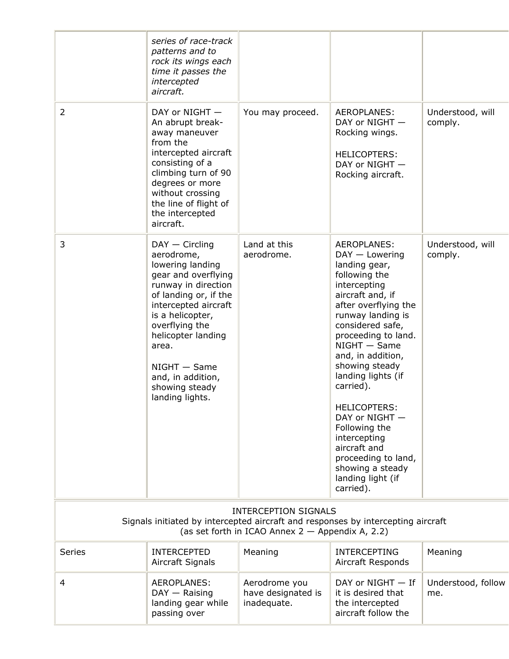|                                                                                                                                                                       | series of race-track<br>patterns and to<br>rock its wings each<br>time it passes the<br>intercepted<br>aircraft.                                                                                                                                                                                   |                                                    |                                                                                                                                                                                                                                                                                                                                                                                                                                                                         |                             |
|-----------------------------------------------------------------------------------------------------------------------------------------------------------------------|----------------------------------------------------------------------------------------------------------------------------------------------------------------------------------------------------------------------------------------------------------------------------------------------------|----------------------------------------------------|-------------------------------------------------------------------------------------------------------------------------------------------------------------------------------------------------------------------------------------------------------------------------------------------------------------------------------------------------------------------------------------------------------------------------------------------------------------------------|-----------------------------|
| $\overline{2}$                                                                                                                                                        | DAY or NIGHT -<br>An abrupt break-<br>away maneuver<br>from the<br>intercepted aircraft<br>consisting of a<br>climbing turn of 90<br>degrees or more<br>without crossing<br>the line of flight of<br>the intercepted<br>aircraft.                                                                  | You may proceed.                                   | AEROPLANES:<br>DAY or NIGHT -<br>Rocking wings.<br><b>HELICOPTERS:</b><br>DAY or NIGHT -<br>Rocking aircraft.                                                                                                                                                                                                                                                                                                                                                           | Understood, will<br>comply. |
| 3                                                                                                                                                                     | $DAY - Circling$<br>aerodrome,<br>lowering landing<br>gear and overflying<br>runway in direction<br>of landing or, if the<br>intercepted aircraft<br>is a helicopter,<br>overflying the<br>helicopter landing<br>area.<br>$NIGHT - Same$<br>and, in addition,<br>showing steady<br>landing lights. | Land at this<br>aerodrome.                         | <b>AEROPLANES:</b><br>$DAY - Lowering$<br>landing gear,<br>following the<br>intercepting<br>aircraft and, if<br>after overflying the<br>runway landing is<br>considered safe,<br>proceeding to land.<br>$NIGHT - Same$<br>and, in addition,<br>showing steady<br>landing lights (if<br>carried).<br><b>HELICOPTERS:</b><br>DAY or NIGHT -<br>Following the<br>intercepting<br>aircraft and<br>proceeding to land,<br>showing a steady<br>landing light (if<br>carried). | Understood, will<br>comply. |
| <b>INTERCEPTION SIGNALS</b><br>Signals initiated by intercepted aircraft and responses by intercepting aircraft<br>(as set forth in ICAO Annex $2 -$ Appendix A, 2.2) |                                                                                                                                                                                                                                                                                                    |                                                    |                                                                                                                                                                                                                                                                                                                                                                                                                                                                         |                             |
| <b>Series</b>                                                                                                                                                         | <b>INTERCEPTED</b><br>Aircraft Signals                                                                                                                                                                                                                                                             | Meaning                                            | <b>INTERCEPTING</b><br>Aircraft Responds                                                                                                                                                                                                                                                                                                                                                                                                                                | Meaning                     |
| 4                                                                                                                                                                     | AEROPLANES:<br>$DAY - Raising$<br>landing gear while<br>passing over                                                                                                                                                                                                                               | Aerodrome you<br>have designated is<br>inadequate. | DAY or NIGHT - If<br>it is desired that<br>the intercepted<br>aircraft follow the                                                                                                                                                                                                                                                                                                                                                                                       | Understood, follow<br>me.   |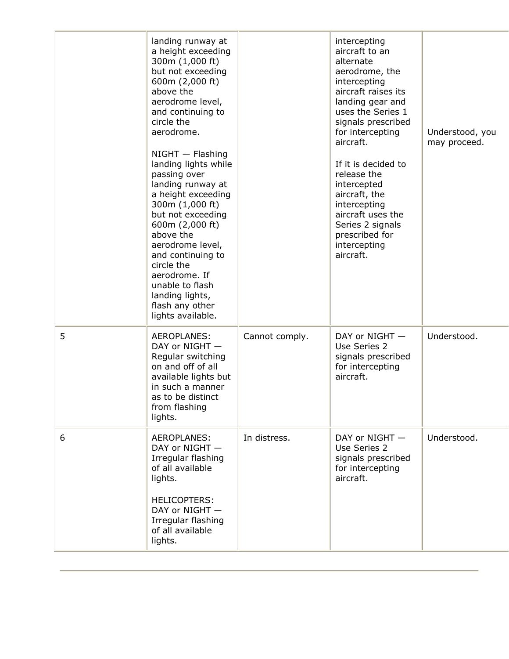|   | landing runway at<br>a height exceeding<br>300m (1,000 ft)<br>but not exceeding<br>600m (2,000 ft)<br>above the<br>aerodrome level,<br>and continuing to<br>circle the<br>aerodrome.<br>$NIGHT - Flashing$<br>landing lights while<br>passing over<br>landing runway at<br>a height exceeding<br>300m (1,000 ft)<br>but not exceeding<br>600m (2,000 ft)<br>above the<br>aerodrome level,<br>and continuing to<br>circle the<br>aerodrome. If<br>unable to flash<br>landing lights,<br>flash any other<br>lights available. |                | intercepting<br>aircraft to an<br>alternate<br>aerodrome, the<br>intercepting<br>aircraft raises its<br>landing gear and<br>uses the Series 1<br>signals prescribed<br>for intercepting<br>aircraft.<br>If it is decided to<br>release the<br>intercepted<br>aircraft, the<br>intercepting<br>aircraft uses the<br>Series 2 signals<br>prescribed for<br>intercepting<br>aircraft. | Understood, you<br>may proceed. |
|---|-----------------------------------------------------------------------------------------------------------------------------------------------------------------------------------------------------------------------------------------------------------------------------------------------------------------------------------------------------------------------------------------------------------------------------------------------------------------------------------------------------------------------------|----------------|------------------------------------------------------------------------------------------------------------------------------------------------------------------------------------------------------------------------------------------------------------------------------------------------------------------------------------------------------------------------------------|---------------------------------|
| 5 | <b>AEROPLANES:</b><br>DAY or NIGHT -<br>Regular switching<br>on and off of all<br>available lights but<br>in such a manner<br>as to be distinct<br>from flashing<br>lights.                                                                                                                                                                                                                                                                                                                                                 | Cannot comply. | DAY or NIGHT -<br>Use Series 2<br>signals prescribed<br>for intercepting<br>aircraft.                                                                                                                                                                                                                                                                                              | Understood.                     |
| 6 | AEROPLANES:<br>DAY or NIGHT -<br>Irregular flashing<br>of all available<br>lights.<br><b>HELICOPTERS:</b><br>DAY or NIGHT -<br>Irregular flashing<br>of all available<br>lights.                                                                                                                                                                                                                                                                                                                                            | In distress.   | DAY or NIGHT -<br>Use Series 2<br>signals prescribed<br>for intercepting<br>aircraft.                                                                                                                                                                                                                                                                                              | Understood.                     |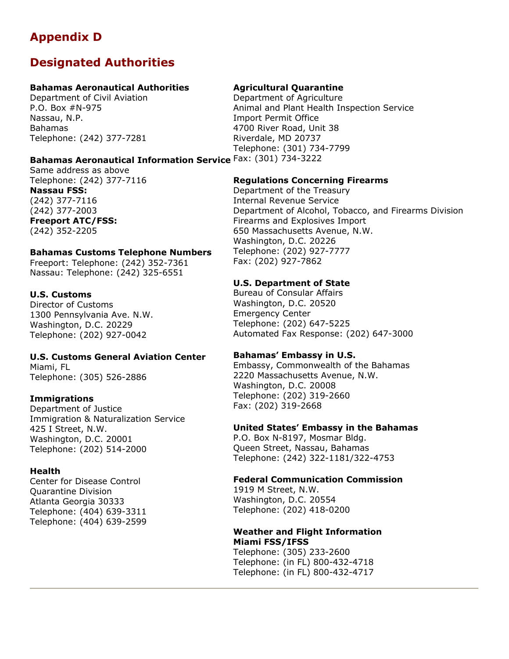# Appendix D

# Designated Authorities

#### Bahamas Aeronautical Authorities

Department of Civil Aviation P.O. Box #N-975 Nassau, N.P. Bahamas Telephone: (242) 377-7281

# Bahamas Aeronautical Information Service Fax: (301) 734-3222

Same address as above Telephone: (242) 377-7116 Nassau FSS: (242) 377-7116 (242) 377-2003 Freeport ATC/FSS: (242) 352-2205

#### Bahamas Customs Telephone Numbers

Freeport: Telephone: (242) 352-7361 Nassau: Telephone: (242) 325-6551

#### U.S. Customs

Director of Customs 1300 Pennsylvania Ave. N.W. Washington, D.C. 20229 Telephone: (202) 927-0042

### U.S. Customs General Aviation Center

Miami, FL Telephone: (305) 526-2886

#### **Immigrations**

Department of Justice Immigration & Naturalization Service 425 I Street, N.W. Washington, D.C. 20001 Telephone: (202) 514-2000

#### **Health**

Center for Disease Control Quarantine Division Atlanta Georgia 30333 Telephone: (404) 639-3311 Telephone: (404) 639-2599

#### Agricultural Quarantine

Department of Agriculture Animal and Plant Health Inspection Service Import Permit Office 4700 River Road, Unit 38 Riverdale, MD 20737 Telephone: (301) 734-7799

#### Regulations Concerning Firearms

Department of the Treasury Internal Revenue Service Department of Alcohol, Tobacco, and Firearms Division Firearms and Explosives Import 650 Massachusetts Avenue, N.W. Washington, D.C. 20226 Telephone: (202) 927-7777 Fax: (202) 927-7862

#### U.S. Department of State

Bureau of Consular Affairs Washington, D.C. 20520 Emergency Center Telephone: (202) 647-5225 Automated Fax Response: (202) 647-3000

#### Bahamas' Embassy in U.S.

Embassy, Commonwealth of the Bahamas 2220 Massachusetts Avenue, N.W. Washington, D.C. 20008 Telephone: (202) 319-2660 Fax: (202) 319-2668

#### United States' Embassy in the Bahamas

P.O. Box N-8197, Mosmar Bldg. Queen Street, Nassau, Bahamas Telephone: (242) 322-1181/322-4753

#### Federal Communication Commission

1919 M Street, N.W. Washington, D.C. 20554 Telephone: (202) 418-0200

#### Weather and Flight Information Miami FSS/IFSS

Telephone: (305) 233-2600 Telephone: (in FL) 800-432-4718 Telephone: (in FL) 800-432-4717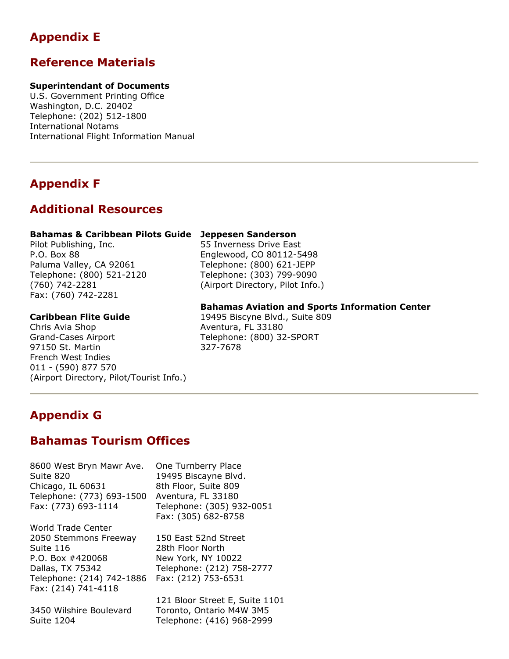# Appendix E

# Reference Materials

#### Superintendant of Documents

U.S. Government Printing Office Washington, D.C. 20402 Telephone: (202) 512-1800 International Notams International Flight Information Manual

# Appendix F

# Additional Resources

#### Bahamas & Caribbean Pilots Guide Jeppesen Sanderson

Pilot Publishing, Inc. P.O. Box 88 Paluma Valley, CA 92061 Telephone: (800) 521-2120 (760) 742-2281 Fax: (760) 742-2281

#### Caribbean Flite Guide

Chris Avia Shop Grand-Cases Airport 97150 St. Martin French West Indies 011 - (590) 877 570 (Airport Directory, Pilot/Tourist Info.)

55 Inverness Drive East Englewood, CO 80112-5498 Telephone: (800) 621-JEPP Telephone: (303) 799-9090 (Airport Directory, Pilot Info.)

#### Bahamas Aviation and Sports Information Center

19495 Biscyne Blvd., Suite 809 Aventura, FL 33180 Telephone: (800) 32-SPORT 327-7678

# Appendix G

# Bahamas Tourism Offices

8600 West Bryn Mawr Ave. Suite 820 Chicago, IL 60631 Telephone: (773) 693-1500 Fax: (773) 693-1114

World Trade Center 2050 Stemmons Freeway Suite 116 P.O. Box #420068 Dallas, TX 75342 Telephone: (214) 742-1886 Fax: (214) 741-4118

3450 Wilshire Boulevard Suite 1204

One Turnberry Place 19495 Biscayne Blvd. 8th Floor, Suite 809 Aventura, FL 33180 Telephone: (305) 932-0051 Fax: (305) 682-8758

150 East 52nd Street 28th Floor North New York, NY 10022 Telephone: (212) 758-2777 Fax: (212) 753-6531

121 Bloor Street E, Suite 1101 Toronto, Ontario M4W 3M5 Telephone: (416) 968-2999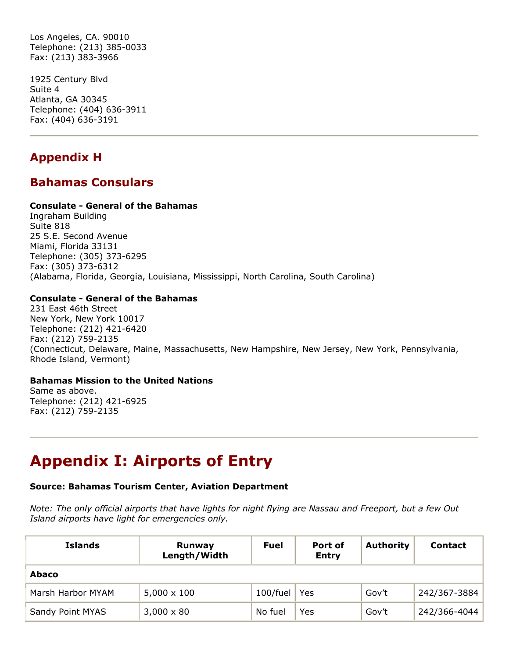Los Angeles, CA. 90010 Telephone: (213) 385-0033 Fax: (213) 383-3966

1925 Century Blvd Suite 4 Atlanta, GA 30345 Telephone: (404) 636-3911 Fax: (404) 636-3191

# Appendix H

# Bahamas Consulars

#### Consulate - General of the Bahamas

Ingraham Building Suite 818 25 S.E. Second Avenue Miami, Florida 33131 Telephone: (305) 373-6295 Fax: (305) 373-6312 (Alabama, Florida, Georgia, Louisiana, Mississippi, North Carolina, South Carolina)

#### Consulate - General of the Bahamas

231 East 46th Street New York, New York 10017 Telephone: (212) 421-6420 Fax: (212) 759-2135 (Connecticut, Delaware, Maine, Massachusetts, New Hampshire, New Jersey, New York, Pennsylvania, Rhode Island, Vermont)

#### Bahamas Mission to the United Nations

Same as above. Telephone: (212) 421-6925 Fax: (212) 759-2135

# Appendix I: Airports of Entry

#### Source: Bahamas Tourism Center, Aviation Department

Note: The only official airports that have lights for night flying are Nassau and Freeport, but a few Out Island airports have light for emergencies only.

| <b>Islands</b>    | Runway<br>Length/Width | <b>Fuel</b> | Port of<br><b>Entry</b> | <b>Authority</b> | <b>Contact</b> |
|-------------------|------------------------|-------------|-------------------------|------------------|----------------|
| <b>Abaco</b>      |                        |             |                         |                  |                |
| Marsh Harbor MYAM | $5,000 \times 100$     | 100/fuel    | Yes                     | Gov't            | 242/367-3884   |
| Sandy Point MYAS  | $3,000 \times 80$      | No fuel     | Yes                     | Gov't            | 242/366-4044   |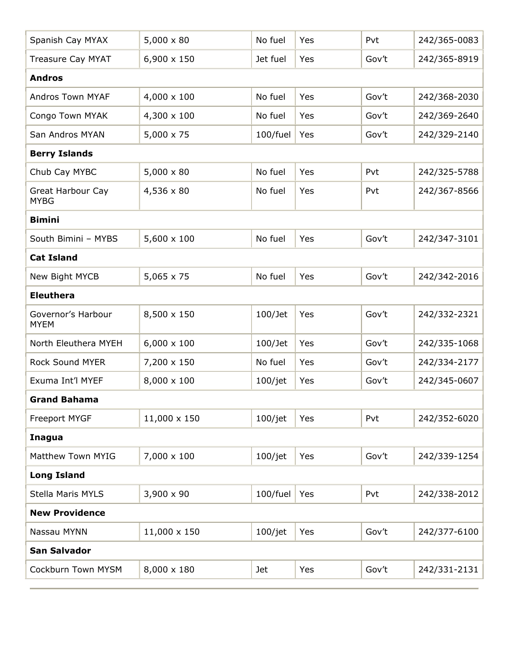| Spanish Cay MYAX                  | $5,000 \times 80$  | No fuel    | Yes | Pvt   | 242/365-0083 |
|-----------------------------------|--------------------|------------|-----|-------|--------------|
| Treasure Cay MYAT                 | 6,900 x 150        | Jet fuel   | Yes | Gov't | 242/365-8919 |
| <b>Andros</b>                     |                    |            |     |       |              |
| Andros Town MYAF                  | 4,000 x 100        | No fuel    | Yes | Gov't | 242/368-2030 |
| Congo Town MYAK                   | 4,300 x 100        | No fuel    | Yes | Gov't | 242/369-2640 |
| San Andros MYAN                   | 5,000 x 75         | 100/fuel   | Yes | Gov't | 242/329-2140 |
| <b>Berry Islands</b>              |                    |            |     |       |              |
| Chub Cay MYBC                     | $5,000 \times 80$  | No fuel    | Yes | Pvt   | 242/325-5788 |
| Great Harbour Cay<br><b>MYBG</b>  | 4,536 x 80         | No fuel    | Yes | Pvt   | 242/367-8566 |
| <b>Bimini</b>                     |                    |            |     |       |              |
| South Bimini - MYBS               | $5,600 \times 100$ | No fuel    | Yes | Gov't | 242/347-3101 |
| <b>Cat Island</b>                 |                    |            |     |       |              |
| New Bight MYCB                    | $5,065 \times 75$  | No fuel    | Yes | Gov't | 242/342-2016 |
| <b>Eleuthera</b>                  |                    |            |     |       |              |
| Governor's Harbour<br><b>MYEM</b> | 8,500 x 150        | $100$ /Jet | Yes | Gov't | 242/332-2321 |
| North Eleuthera MYEH              | $6,000 \times 100$ | $100/$ Jet | Yes | Gov't | 242/335-1068 |
| Rock Sound MYER                   | 7,200 x 150        | No fuel    | Yes | Gov't | 242/334-2177 |
| Exuma Int'l MYEF                  | 8,000 x 100        | 100/jet    | Yes | Gov't | 242/345-0607 |
| <b>Grand Bahama</b>               |                    |            |     |       |              |
| Freeport MYGF                     | 11,000 x 150       | 100/jet    | Yes | Pvt   | 242/352-6020 |
| Inagua                            |                    |            |     |       |              |
| Matthew Town MYIG                 | 7,000 x 100        | 100/jet    | Yes | Gov't | 242/339-1254 |
| <b>Long Island</b>                |                    |            |     |       |              |
| Stella Maris MYLS                 | 3,900 x 90         | 100/fuel   | Yes | Pvt   | 242/338-2012 |
| <b>New Providence</b>             |                    |            |     |       |              |
| Nassau MYNN                       | 11,000 x 150       | 100/jet    | Yes | Gov't | 242/377-6100 |
| <b>San Salvador</b>               |                    |            |     |       |              |
| Cockburn Town MYSM                | 8,000 x 180        | Jet        | Yes | Gov't | 242/331-2131 |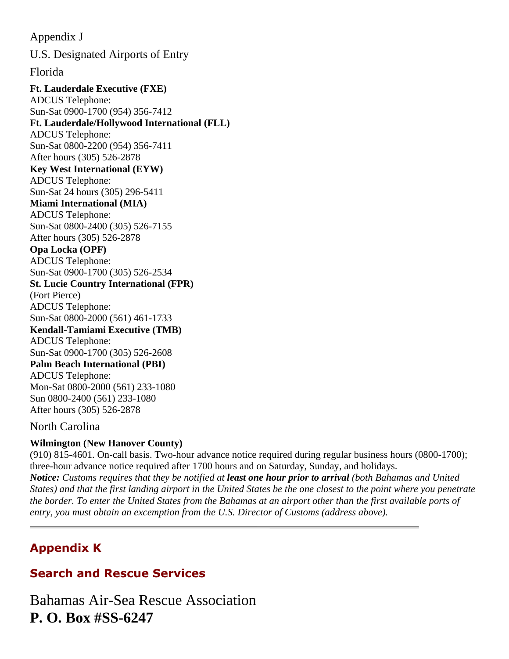Appendix J U.S. Designated Airports of Entry Florida **Ft. Lauderdale Executive (FXE)** ADCUS Telephone: Sun-Sat 0900-1700 (954) 356-7412 **Ft. Lauderdale/Hollywood International (FLL)** ADCUS Telephone: Sun-Sat 0800-2200 (954) 356-7411 After hours (305) 526-2878 **Key West International (EYW)** ADCUS Telephone: Sun-Sat 24 hours (305) 296-5411 **Miami International (MIA)** ADCUS Telephone: Sun-Sat 0800-2400 (305) 526-7155 After hours (305) 526-2878 **Opa Locka (OPF)** ADCUS Telephone: Sun-Sat 0900-1700 (305) 526-2534 **St. Lucie Country International (FPR)** (Fort Pierce) ADCUS Telephone: Sun-Sat 0800-2000 (561) 461-1733 **Kendall-Tamiami Executive (TMB)** ADCUS Telephone: Sun-Sat 0900-1700 (305) 526-2608 **Palm Beach International (PBI)** ADCUS Telephone: Mon-Sat 0800-2000 (561) 233-1080 Sun 0800-2400 (561) 233-1080 After hours (305) 526-2878

### North Carolina

### **Wilmington (New Hanover County)**

(910) 815-4601. On-call basis. Two-hour advance notice required during regular business hours (0800-1700); three-hour advance notice required after 1700 hours and on Saturday, Sunday, and holidays. *Notice: Customs requires that they be notified at least one hour prior to arrival (both Bahamas and United States) and that the first landing airport in the United States be the one closest to the point where you penetrate the border. To enter the United States from the Bahamas at an airport other than the first available ports of entry, you must obtain an excemption from the U.S. Director of Customs (address above).*

# Appendix K

# Search and Rescue Services

Bahamas Air-Sea Rescue Association **P. O. Box #SS-6247**